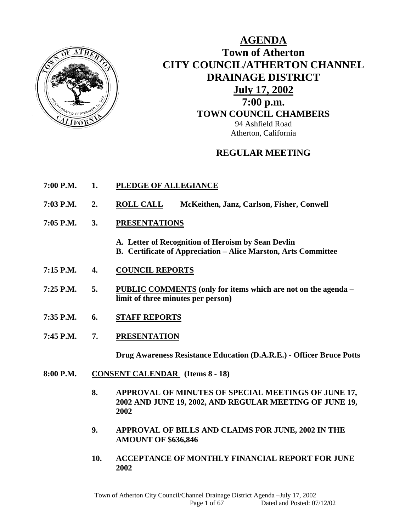

**AGENDA Town of Atherton CITY COUNCIL/ATHERTON CHANNEL DRAINAGE DISTRICT July 17, 2002 7:00 p.m. TOWN COUNCIL CHAMBERS** 94 Ashfield Road Atherton, California

# **REGULAR MEETING**

- **7:00 P.M. 1. PLEDGE OF ALLEGIANCE**
- **7:03 P.M. 2. ROLL CALL McKeithen, Janz, Carlson, Fisher, Conwell**
- **7:05 P.M. 3. PRESENTATIONS**

**A. Letter of Recognition of Heroism by Sean Devlin** 

- **B. Certificate of Appreciation Alice Marston, Arts Committee**
- **7:15 P.M. 4. COUNCIL REPORTS**
- **7:25 P.M. 5. PUBLIC COMMENTS (only for items which are not on the agenda limit of three minutes per person)**
- **7:35 P.M. 6. STAFF REPORTS**
- **7:45 P.M. 7. PRESENTATION**

 **Drug Awareness Resistance Education (D.A.R.E.) - Officer Bruce Potts** 

- **8:00 P.M. CONSENT CALENDAR (Items 8 18)** 
	- **8. APPROVAL OF MINUTES OF SPECIAL MEETINGS OF JUNE 17, 2002 AND JUNE 19, 2002, AND REGULAR MEETING OF JUNE 19, 2002**
	- **9. APPROVAL OF BILLS AND CLAIMS FOR JUNE, 2002 IN THE AMOUNT OF \$636,846**
	- **10. ACCEPTANCE OF MONTHLY FINANCIAL REPORT FOR JUNE 2002**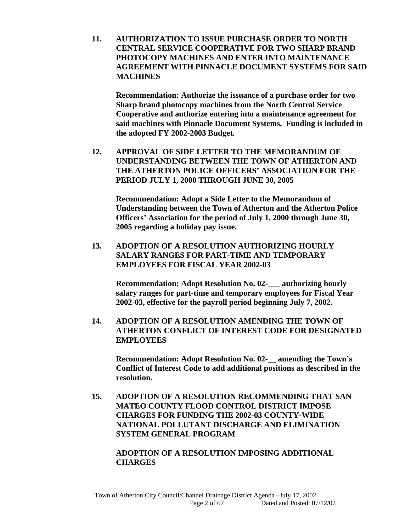**11. AUTHORIZATION TO ISSUE PURCHASE ORDER TO NORTH CENTRAL SERVICE COOPERATIVE FOR TWO SHARP BRAND PHOTOCOPY MACHINES AND ENTER INTO MAINTENANCE AGREEMENT WITH PINNACLE DOCUMENT SYSTEMS FOR SAID MACHINES** 

 **Recommendation: Authorize the issuance of a purchase order for two Sharp brand photocopy machines from the North Central Service Cooperative and authorize entering into a maintenance agreement for said machines with Pinnacle Document Systems. Funding is included in the adopted FY 2002-2003 Budget.** 

**12. APPROVAL OF SIDE LETTER TO THE MEMORANDUM OF UNDERSTANDING BETWEEN THE TOWN OF ATHERTON AND THE ATHERTON POLICE OFFICERS' ASSOCIATION FOR THE PERIOD JULY 1, 2000 THROUGH JUNE 30, 2005** 

 **Recommendation: Adopt a Side Letter to the Memorandum of Understanding between the Town of Atherton and the Atherton Police Officers' Association for the period of July 1, 2000 through June 30, 2005 regarding a holiday pay issue.** 

**13. ADOPTION OF A RESOLUTION AUTHORIZING HOURLY SALARY RANGES FOR PART-TIME AND TEMPORARY EMPLOYEES FOR FISCAL YEAR 2002-03** 

 **Recommendation: Adopt Resolution No. 02-\_\_\_ authorizing hourly salary ranges for part-time and temporary employees for Fiscal Year 2002-03, effective for the payroll period beginning July 7, 2002.** 

**14. ADOPTION OF A RESOLUTION AMENDING THE TOWN OF ATHERTON CONFLICT OF INTEREST CODE FOR DESIGNATED EMPLOYEES** 

 **Recommendation: Adopt Resolution No. 02-\_\_ amending the Town's Conflict of Interest Code to add additional positions as described in the resolution.** 

**15. ADOPTION OF A RESOLUTION RECOMMENDING THAT SAN MATEO COUNTY FLOOD CONTROL DISTRICT IMPOSE CHARGES FOR FUNDING THE 2002-03 COUNTY-WIDE NATIONAL POLLUTANT DISCHARGE AND ELIMINATION SYSTEM GENERAL PROGRAM** 

# **ADOPTION OF A RESOLUTION IMPOSING ADDITIONAL CHARGES**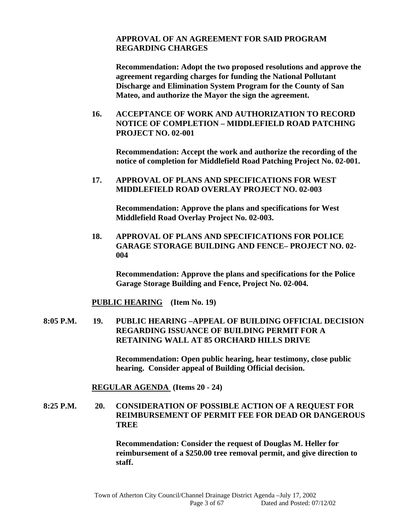### **APPROVAL OF AN AGREEMENT FOR SAID PROGRAM REGARDING CHARGES**

 **Recommendation: Adopt the two proposed resolutions and approve the agreement regarding charges for funding the National Pollutant Discharge and Elimination System Program for the County of San Mateo, and authorize the Mayor the sign the agreement.** 

**16. ACCEPTANCE OF WORK AND AUTHORIZATION TO RECORD NOTICE OF COMPLETION – MIDDLEFIELD ROAD PATCHING PROJECT NO. 02-001** 

 **Recommendation: Accept the work and authorize the recording of the notice of completion for Middlefield Road Patching Project No. 02-001.** 

**17. APPROVAL OF PLANS AND SPECIFICATIONS FOR WEST MIDDLEFIELD ROAD OVERLAY PROJECT NO. 02-003** 

 **Recommendation: Approve the plans and specifications for West Middlefield Road Overlay Project No. 02-003.** 

**18. APPROVAL OF PLANS AND SPECIFICATIONS FOR POLICE GARAGE STORAGE BUILDING AND FENCE– PROJECT NO. 02- 004** 

 **Recommendation: Approve the plans and specifications for the Police Garage Storage Building and Fence, Project No. 02-004.** 

**PUBLIC HEARING (Item No. 19)** 

**8:05 P.M. 19. PUBLIC HEARING –APPEAL OF BUILDING OFFICIAL DECISION REGARDING ISSUANCE OF BUILDING PERMIT FOR A RETAINING WALL AT 85 ORCHARD HILLS DRIVE** 

> **Recommendation: Open public hearing, hear testimony, close public hearing. Consider appeal of Building Official decision.**

 **REGULAR AGENDA (Items 20 - 24)** 

**8:25 P.M. 20. CONSIDERATION OF POSSIBLE ACTION OF A REQUEST FOR REIMBURSEMENT OF PERMIT FEE FOR DEAD OR DANGEROUS TREE** 

> **Recommendation: Consider the request of Douglas M. Heller for reimbursement of a \$250.00 tree removal permit, and give direction to staff.**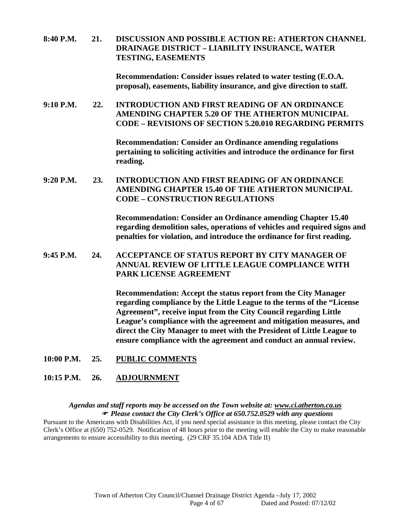**8:40 P.M. 21. DISCUSSION AND POSSIBLE ACTION RE: ATHERTON CHANNEL DRAINAGE DISTRICT – LIABILITY INSURANCE, WATER TESTING, EASEMENTS** 

> **Recommendation: Consider issues related to water testing (E.O.A. proposal), easements, liability insurance, and give direction to staff.**

**9:10 P.M. 22. INTRODUCTION AND FIRST READING OF AN ORDINANCE AMENDING CHAPTER 5.20 OF THE ATHERTON MUNICIPAL CODE – REVISIONS OF SECTION 5.20.010 REGARDING PERMITS** 

> **Recommendation: Consider an Ordinance amending regulations pertaining to soliciting activities and introduce the ordinance for first reading.**

**9:20 P.M. 23. INTRODUCTION AND FIRST READING OF AN ORDINANCE AMENDING CHAPTER 15.40 OF THE ATHERTON MUNICIPAL CODE – CONSTRUCTION REGULATIONS** 

> **Recommendation: Consider an Ordinance amending Chapter 15.40 regarding demolition sales, operations of vehicles and required signs and penalties for violation, and introduce the ordinance for first reading.**

**9:45 P.M. 24. ACCEPTANCE OF STATUS REPORT BY CITY MANAGER OF ANNUAL REVIEW OF LITTLE LEAGUE COMPLIANCE WITH PARK LICENSE AGREEMENT** 

> **Recommendation: Accept the status report from the City Manager regarding compliance by the Little League to the terms of the "License Agreement", receive input from the City Council regarding Little League's compliance with the agreement and mitigation measures, and direct the City Manager to meet with the President of Little League to ensure compliance with the agreement and conduct an annual review.**

**10:00 P.M. 25. PUBLIC COMMENTS**

#### **10:15 P.M. 26. ADJOURNMENT**

#### *Agendas and staff reports may be accessed on the Town website at: www.ci.atherton.ca.us Please contact the City Clerk's Office at 650.752.0529 with any questions*

Pursuant to the Americans with Disabilities Act, if you need special assistance in this meeting, please contact the City Clerk's Office at (650) 752-0529. Notification of 48 hours prior to the meeting will enable the City to make reasonable arrangements to ensure accessibility to this meeting. (29 CRF 35.104 ADA Title II)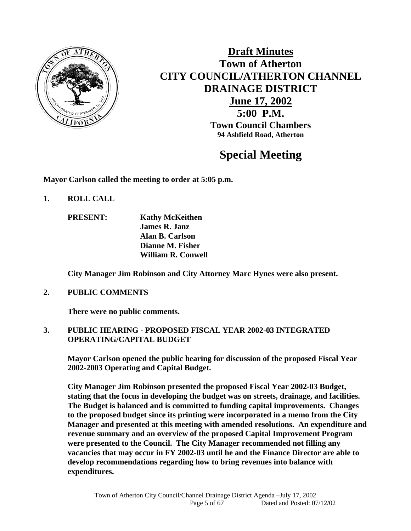

# **Draft Minutes Town of Atherton CITY COUNCIL/ATHERTON CHANNEL DRAINAGE DISTRICT June 17, 2002 5:00 P.M. Town Council Chambers 94 Ashfield Road, Atherton**

# **Special Meeting**

**Mayor Carlson called the meeting to order at 5:05 p.m.** 

- **1. ROLL CALL** 
	- **PRESENT: Kathy McKeithen James R. Janz Alan B. Carlson Dianne M. Fisher William R. Conwell**

 **City Manager Jim Robinson and City Attorney Marc Hynes were also present.** 

**2. PUBLIC COMMENTS** 

**There were no public comments.** 

# **3. PUBLIC HEARING - PROPOSED FISCAL YEAR 2002-03 INTEGRATED OPERATING/CAPITAL BUDGET**

 **Mayor Carlson opened the public hearing for discussion of the proposed Fiscal Year 2002-2003 Operating and Capital Budget.** 

**City Manager Jim Robinson presented the proposed Fiscal Year 2002-03 Budget, stating that the focus in developing the budget was on streets, drainage, and facilities. The Budget is balanced and is committed to funding capital improvements. Changes to the proposed budget since its printing were incorporated in a memo from the City Manager and presented at this meeting with amended resolutions. An expenditure and revenue summary and an overview of the proposed Capital Improvement Program were presented to the Council. The City Manager recommended not filling any vacancies that may occur in FY 2002-03 until he and the Finance Director are able to develop recommendations regarding how to bring revenues into balance with expenditures.**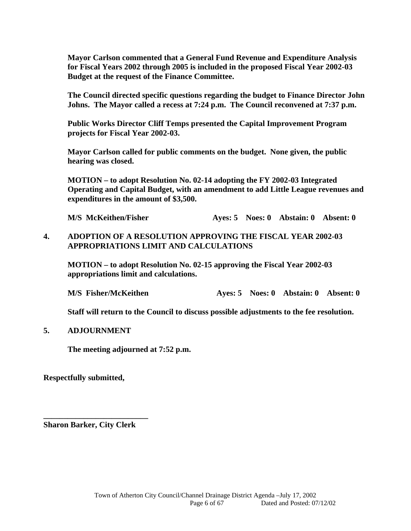**Mayor Carlson commented that a General Fund Revenue and Expenditure Analysis for Fiscal Years 2002 through 2005 is included in the proposed Fiscal Year 2002-03 Budget at the request of the Finance Committee.** 

**The Council directed specific questions regarding the budget to Finance Director John Johns. The Mayor called a recess at 7:24 p.m. The Council reconvened at 7:37 p.m.** 

**Public Works Director Cliff Temps presented the Capital Improvement Program projects for Fiscal Year 2002-03.** 

**Mayor Carlson called for public comments on the budget. None given, the public hearing was closed.** 

**MOTION – to adopt Resolution No. 02-14 adopting the FY 2002-03 Integrated Operating and Capital Budget, with an amendment to add Little League revenues and expenditures in the amount of \$3,500.** 

**M/S McKeithen/Fisher Ayes: 5 Noes: 0 Abstain: 0 Absent: 0** 

### **4. ADOPTION OF A RESOLUTION APPROVING THE FISCAL YEAR 2002-03 APPROPRIATIONS LIMIT AND CALCULATIONS**

**MOTION – to adopt Resolution No. 02-15 approving the Fiscal Year 2002-03 appropriations limit and calculations.** 

**M/S Fisher/McKeithen Ayes: 5 Noes: 0 Abstain: 0 Absent: 0** 

 **Staff will return to the Council to discuss possible adjustments to the fee resolution.** 

#### **5. ADJOURNMENT**

 **The meeting adjourned at 7:52 p.m.** 

**Respectfully submitted,** 

**Sharon Barker, City Clerk** 

**\_\_\_\_\_\_\_\_\_\_\_\_\_\_\_\_\_\_\_\_\_\_\_\_\_\_**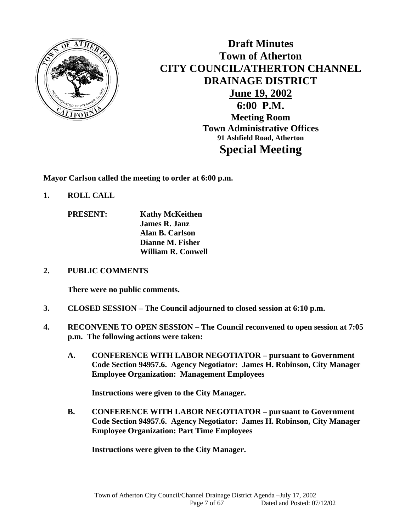

**Draft Minutes Town of Atherton CITY COUNCIL/ATHERTON CHANNEL DRAINAGE DISTRICT June 19, 2002 6:00 P.M. Meeting Room Town Administrative Offices 91 Ashfield Road, Atherton Special Meeting** 

**Mayor Carlson called the meeting to order at 6:00 p.m.** 

- **1. ROLL CALL** 
	- **PRESENT: Kathy McKeithen James R. Janz Alan B. Carlson Dianne M. Fisher William R. Conwell**
- **2. PUBLIC COMMENTS**

 **There were no public comments.** 

- **3. CLOSED SESSION The Council adjourned to closed session at 6:10 p.m.**
- **4. RECONVENE TO OPEN SESSION The Council reconvened to open session at 7:05 p.m. The following actions were taken:** 
	- **A. CONFERENCE WITH LABOR NEGOTIATOR pursuant to Government Code Section 94957.6. Agency Negotiator: James H. Robinson, City Manager Employee Organization: Management Employees**

**Instructions were given to the City Manager.** 

**B. CONFERENCE WITH LABOR NEGOTIATOR – pursuant to Government Code Section 94957.6. Agency Negotiator: James H. Robinson, City Manager Employee Organization: Part Time Employees** 

**Instructions were given to the City Manager.**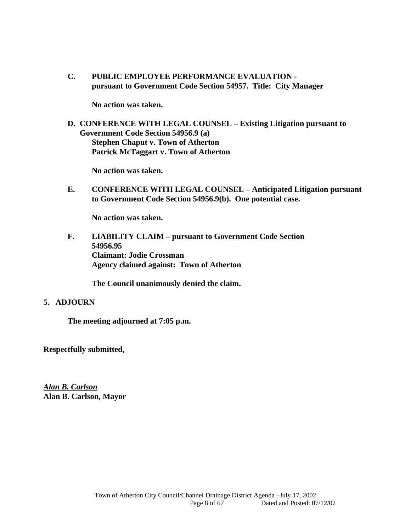**C. PUBLIC EMPLOYEE PERFORMANCE EVALUATION pursuant to Government Code Section 54957. Title: City Manager** 

**No action was taken.** 

**D. CONFERENCE WITH LEGAL COUNSEL – Existing Litigation pursuant to Government Code Section 54956.9 (a) Stephen Chaput v. Town of Atherton Patrick McTaggart v. Town of Atherton** 

**No action was taken.** 

**E. CONFERENCE WITH LEGAL COUNSEL – Anticipated Litigation pursuant to Government Code Section 54956.9(b). One potential case.** 

**No action was taken.** 

**F. LIABILITY CLAIM – pursuant to Government Code Section 54956.95 Claimant: Jodie Crossman Agency claimed against: Town of Atherton** 

 **The Council unanimously denied the claim.** 

#### **5. ADJOURN**

**The meeting adjourned at 7:05 p.m.** 

**Respectfully submitted,** 

*Alan B. Carlson* **Alan B. Carlson, Mayor**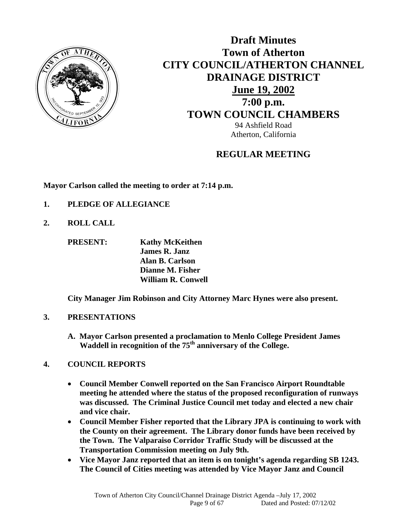

**Draft Minutes Town of Atherton CITY COUNCIL/ATHERTON CHANNEL DRAINAGE DISTRICT June 19, 2002 7:00 p.m. TOWN COUNCIL CHAMBERS** 94 Ashfield Road Atherton, California

# **REGULAR MEETING**

**Mayor Carlson called the meeting to order at 7:14 p.m.** 

- **1. PLEDGE OF ALLEGIANCE**
- **2. ROLL CALL**

 **PRESENT: Kathy McKeithen James R. Janz Alan B. Carlson Dianne M. Fisher William R. Conwell** 

 **City Manager Jim Robinson and City Attorney Marc Hynes were also present.** 

# **3. PRESENTATIONS**

 **A. Mayor Carlson presented a proclamation to Menlo College President James**  Waddell in recognition of the 75<sup>th</sup> anniversary of the College.

# **4. COUNCIL REPORTS**

- **Council Member Conwell reported on the San Francisco Airport Roundtable meeting he attended where the status of the proposed reconfiguration of runways was discussed. The Criminal Justice Council met today and elected a new chair and vice chair.**
- **Council Member Fisher reported that the Library JPA is continuing to work with the County on their agreement. The Library donor funds have been received by the Town. The Valparaiso Corridor Traffic Study will be discussed at the Transportation Commission meeting on July 9th.**
- **Vice Mayor Janz reported that an item is on tonight's agenda regarding SB 1243. The Council of Cities meeting was attended by Vice Mayor Janz and Council**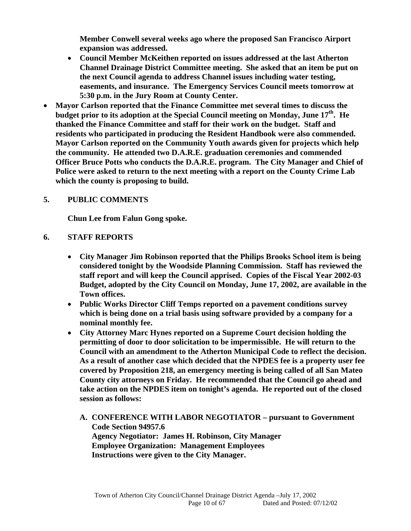**Member Conwell several weeks ago where the proposed San Francisco Airport expansion was addressed.** 

- **Council Member McKeithen reported on issues addressed at the last Atherton Channel Drainage District Committee meeting. She asked that an item be put on the next Council agenda to address Channel issues including water testing, easements, and insurance. The Emergency Services Council meets tomorrow at 5:30 p.m. in the Jury Room at County Center.**
- **Mayor Carlson reported that the Finance Committee met several times to discuss the budget prior to its adoption at the Special Council meeting on Monday, June 17th. He thanked the Finance Committee and staff for their work on the budget. Staff and residents who participated in producing the Resident Handbook were also commended. Mayor Carlson reported on the Community Youth awards given for projects which help the community. He attended two D.A.R.E. graduation ceremonies and commended Officer Bruce Potts who conducts the D.A.R.E. program. The City Manager and Chief of Police were asked to return to the next meeting with a report on the County Crime Lab which the county is proposing to build.**

# **5. PUBLIC COMMENTS**

 **Chun Lee from Falun Gong spoke.** 

# **6. STAFF REPORTS**

- **City Manager Jim Robinson reported that the Philips Brooks School item is being considered tonight by the Woodside Planning Commission. Staff has reviewed the staff report and will keep the Council apprised. Copies of the Fiscal Year 2002-03 Budget, adopted by the City Council on Monday, June 17, 2002, are available in the Town offices.**
- **Public Works Director Cliff Temps reported on a pavement conditions survey which is being done on a trial basis using software provided by a company for a nominal monthly fee.**
- **City Attorney Marc Hynes reported on a Supreme Court decision holding the permitting of door to door solicitation to be impermissible. He will return to the Council with an amendment to the Atherton Municipal Code to reflect the decision. As a result of another case which decided that the NPDES fee is a property user fee covered by Proposition 218, an emergency meeting is being called of all San Mateo County city attorneys on Friday. He recommended that the Council go ahead and take action on the NPDES item on tonight's agenda. He reported out of the closed session as follows:** 
	- **A. CONFERENCE WITH LABOR NEGOTIATOR pursuant to Government Code Section 94957.6 Agency Negotiator: James H. Robinson, City Manager Employee Organization: Management Employees Instructions were given to the City Manager.**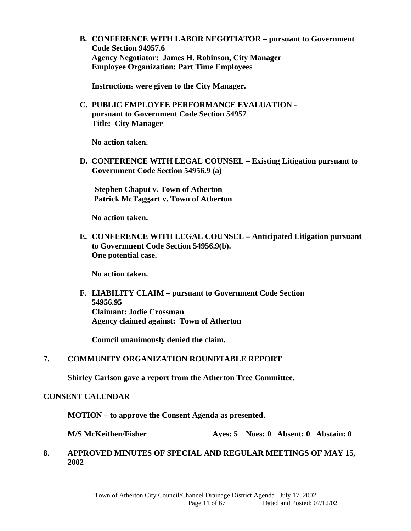**B. CONFERENCE WITH LABOR NEGOTIATOR – pursuant to Government Code Section 94957.6 Agency Negotiator: James H. Robinson, City Manager Employee Organization: Part Time Employees** 

**Instructions were given to the City Manager.** 

**C. PUBLIC EMPLOYEE PERFORMANCE EVALUATION pursuant to Government Code Section 54957 Title: City Manager** 

**No action taken.** 

 **D. CONFERENCE WITH LEGAL COUNSEL – Existing Litigation pursuant to Government Code Section 54956.9 (a)** 

**Stephen Chaput v. Town of Atherton Patrick McTaggart v. Town of Atherton** 

 **No action taken.** 

 **E. CONFERENCE WITH LEGAL COUNSEL – Anticipated Litigation pursuant to Government Code Section 54956.9(b). One potential case.** 

 **No action taken.** 

**F. LIABILITY CLAIM – pursuant to Government Code Section 54956.95 Claimant: Jodie Crossman Agency claimed against: Town of Atherton** 

 **Council unanimously denied the claim.** 

### **7. COMMUNITY ORGANIZATION ROUNDTABLE REPORT**

**Shirley Carlson gave a report from the Atherton Tree Committee.** 

#### **CONSENT CALENDAR**

 **MOTION – to approve the Consent Agenda as presented.** 

**M/S McKeithen/Fisher Ayes: 5 Noes: 0 Absent: 0 Abstain: 0** 

### **8. APPROVED MINUTES OF SPECIAL AND REGULAR MEETINGS OF MAY 15, 2002**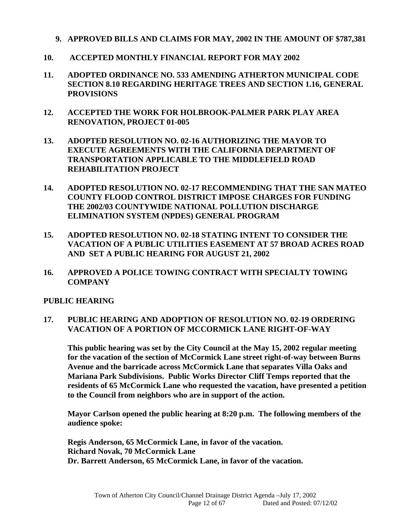- **9. APPROVED BILLS AND CLAIMS FOR MAY, 2002 IN THE AMOUNT OF \$787,381**
- **10. ACCEPTED MONTHLY FINANCIAL REPORT FOR MAY 2002**
- **11. ADOPTED ORDINANCE NO. 533 AMENDING ATHERTON MUNICIPAL CODE SECTION 8.10 REGARDING HERITAGE TREES AND SECTION 1.16, GENERAL PROVISIONS**
- **12. ACCEPTED THE WORK FOR HOLBROOK-PALMER PARK PLAY AREA RENOVATION, PROJECT 01-005**
- **13. ADOPTED RESOLUTION NO. 02-16 AUTHORIZING THE MAYOR TO EXECUTE AGREEMENTS WITH THE CALIFORNIA DEPARTMENT OF TRANSPORTATION APPLICABLE TO THE MIDDLEFIELD ROAD REHABILITATION PROJECT**
- **14. ADOPTED RESOLUTION NO. 02-17 RECOMMENDING THAT THE SAN MATEO COUNTY FLOOD CONTROL DISTRICT IMPOSE CHARGES FOR FUNDING THE 2002/03 COUNTYWIDE NATIONAL POLLUTION DISCHARGE ELIMINATION SYSTEM (NPDES) GENERAL PROGRAM**
- **15. ADOPTED RESOLUTION NO. 02-18 STATING INTENT TO CONSIDER THE VACATION OF A PUBLIC UTILITIES EASEMENT AT 57 BROAD ACRES ROAD AND SET A PUBLIC HEARING FOR AUGUST 21, 2002**
- **16. APPROVED A POLICE TOWING CONTRACT WITH SPECIALTY TOWING COMPANY**

#### **PUBLIC HEARING**

### **17. PUBLIC HEARING AND ADOPTION OF RESOLUTION NO. 02-19 ORDERING VACATION OF A PORTION OF MCCORMICK LANE RIGHT-OF-WAY**

 **This public hearing was set by the City Council at the May 15, 2002 regular meeting for the vacation of the section of McCormick Lane street right-of-way between Burns Avenue and the barricade across McCormick Lane that separates Villa Oaks and Mariana Park Subdivisions. Public Works Director Cliff Temps reported that the residents of 65 McCormick Lane who requested the vacation, have presented a petition to the Council from neighbors who are in support of the action.** 

 **Mayor Carlson opened the public hearing at 8:20 p.m. The following members of the audience spoke:** 

 **Regis Anderson, 65 McCormick Lane, in favor of the vacation. Richard Novak, 70 McCormick Lane Dr. Barrett Anderson, 65 McCormick Lane, in favor of the vacation.**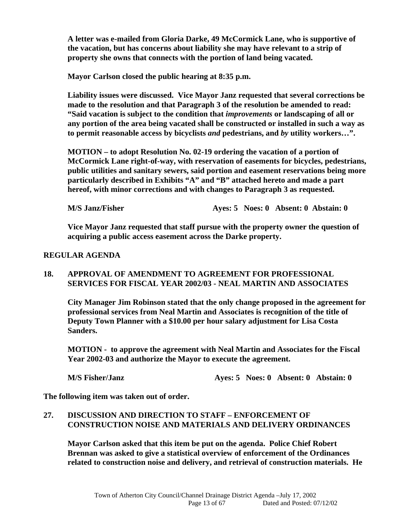**A letter was e-mailed from Gloria Darke, 49 McCormick Lane, who is supportive of the vacation, but has concerns about liability she may have relevant to a strip of property she owns that connects with the portion of land being vacated.** 

 **Mayor Carlson closed the public hearing at 8:35 p.m.** 

 **Liability issues were discussed. Vice Mayor Janz requested that several corrections be made to the resolution and that Paragraph 3 of the resolution be amended to read: "Said vacation is subject to the condition that** *improvements* **or landscaping of all or any portion of the area being vacated shall be constructed or installed in such a way as to permit reasonable access by bicyclists** *and* **pedestrians, and** *by* **utility workers…".** 

 **MOTION – to adopt Resolution No. 02-19 ordering the vacation of a portion of McCormick Lane right-of-way, with reservation of easements for bicycles, pedestrians, public utilities and sanitary sewers, said portion and easement reservations being more particularly described in Exhibits "A" and "B" attached hereto and made a part hereof, with minor corrections and with changes to Paragraph 3 as requested.** 

 **M/S Janz/Fisher Ayes: 5 Noes: 0 Absent: 0 Abstain: 0** 

**Vice Mayor Janz requested that staff pursue with the property owner the question of acquiring a public access easement across the Darke property.** 

# **REGULAR AGENDA**

# **18. APPROVAL OF AMENDMENT TO AGREEMENT FOR PROFESSIONAL SERVICES FOR FISCAL YEAR 2002/03 - NEAL MARTIN AND ASSOCIATES**

 **City Manager Jim Robinson stated that the only change proposed in the agreement for professional services from Neal Martin and Associates is recognition of the title of Deputy Town Planner with a \$10.00 per hour salary adjustment for Lisa Costa Sanders.** 

**MOTION - to approve the agreement with Neal Martin and Associates for the Fiscal Year 2002-03 and authorize the Mayor to execute the agreement.** 

 **M/S Fisher/Janz Ayes: 5 Noes: 0 Absent: 0 Abstain: 0** 

**The following item was taken out of order.** 

# **27. DISCUSSION AND DIRECTION TO STAFF – ENFORCEMENT OF CONSTRUCTION NOISE AND MATERIALS AND DELIVERY ORDINANCES**

 **Mayor Carlson asked that this item be put on the agenda. Police Chief Robert Brennan was asked to give a statistical overview of enforcement of the Ordinances related to construction noise and delivery, and retrieval of construction materials. He**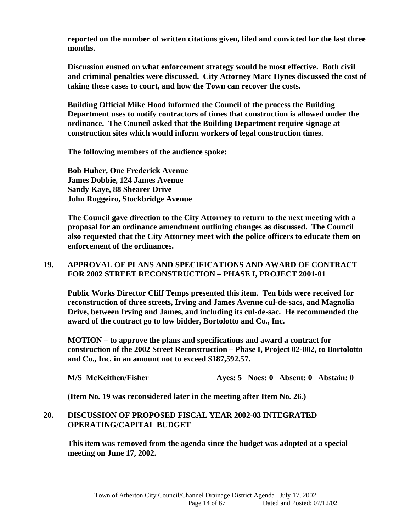**reported on the number of written citations given, filed and convicted for the last three months.** 

 **Discussion ensued on what enforcement strategy would be most effective. Both civil and criminal penalties were discussed. City Attorney Marc Hynes discussed the cost of taking these cases to court, and how the Town can recover the costs.** 

 **Building Official Mike Hood informed the Council of the process the Building Department uses to notify contractors of times that construction is allowed under the ordinance. The Council asked that the Building Department require signage at construction sites which would inform workers of legal construction times.** 

 **The following members of the audience spoke:** 

 **Bob Huber, One Frederick Avenue James Dobbie, 124 James Avenue Sandy Kaye, 88 Shearer Drive John Ruggeiro, Stockbridge Avenue** 

 **The Council gave direction to the City Attorney to return to the next meeting with a proposal for an ordinance amendment outlining changes as discussed. The Council also requested that the City Attorney meet with the police officers to educate them on enforcement of the ordinances.** 

#### **19. APPROVAL OF PLANS AND SPECIFICATIONS AND AWARD OF CONTRACT FOR 2002 STREET RECONSTRUCTION – PHASE I, PROJECT 2001-01**

 **Public Works Director Cliff Temps presented this item. Ten bids were received for reconstruction of three streets, Irving and James Avenue cul-de-sacs, and Magnolia Drive, between Irving and James, and including its cul-de-sac. He recommended the award of the contract go to low bidder, Bortolotto and Co., Inc.** 

 **MOTION – to approve the plans and specifications and award a contract for construction of the 2002 Street Reconstruction – Phase I, Project 02-002, to Bortolotto and Co., Inc. in an amount not to exceed \$187,592.57.** 

| <b>M/S McKeithen/Fisher</b> | Ayes: 5 Noes: 0 Absent: 0 Abstain: 0 |
|-----------------------------|--------------------------------------|
|-----------------------------|--------------------------------------|

 **(Item No. 19 was reconsidered later in the meeting after Item No. 26.)** 

# **20. DISCUSSION OF PROPOSED FISCAL YEAR 2002-03 INTEGRATED OPERATING/CAPITAL BUDGET**

 **This item was removed from the agenda since the budget was adopted at a special meeting on June 17, 2002.**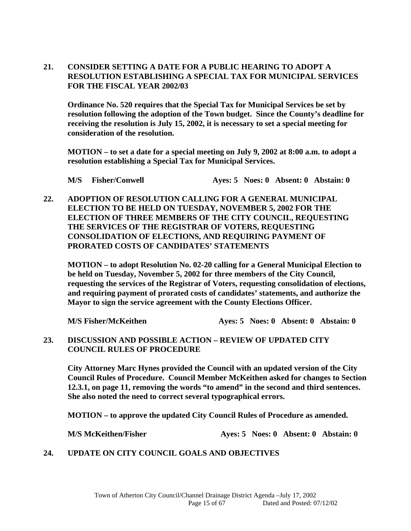### **21. CONSIDER SETTING A DATE FOR A PUBLIC HEARING TO ADOPT A RESOLUTION ESTABLISHING A SPECIAL TAX FOR MUNICIPAL SERVICES FOR THE FISCAL YEAR 2002/03**

 **Ordinance No. 520 requires that the Special Tax for Municipal Services be set by resolution following the adoption of the Town budget. Since the County's deadline for receiving the resolution is July 15, 2002, it is necessary to set a special meeting for consideration of the resolution.** 

 **MOTION – to set a date for a special meeting on July 9, 2002 at 8:00 a.m. to adopt a resolution establishing a Special Tax for Municipal Services.** 

 **M/S Fisher/Conwell Ayes: 5 Noes: 0 Absent: 0 Abstain: 0** 

**22. ADOPTION OF RESOLUTION CALLING FOR A GENERAL MUNICIPAL ELECTION TO BE HELD ON TUESDAY, NOVEMBER 5, 2002 FOR THE ELECTION OF THREE MEMBERS OF THE CITY COUNCIL, REQUESTING THE SERVICES OF THE REGISTRAR OF VOTERS, REQUESTING CONSOLIDATION OF ELECTIONS, AND REQUIRING PAYMENT OF PRORATED COSTS OF CANDIDATES' STATEMENTS** 

 **MOTION – to adopt Resolution No. 02-20 calling for a General Municipal Election to be held on Tuesday, November 5, 2002 for three members of the City Council, requesting the services of the Registrar of Voters, requesting consolidation of elections, and requiring payment of prorated costs of candidates' statements, and authorize the Mayor to sign the service agreement with the County Elections Officer.** 

**M/S Fisher/McKeithen Ayes: 5 Noes: 0 Absent: 0 Abstain: 0** 

**23. DISCUSSION AND POSSIBLE ACTION – REVIEW OF UPDATED CITY COUNCIL RULES OF PROCEDURE** 

 **City Attorney Marc Hynes provided the Council with an updated version of the City Council Rules of Procedure. Council Member McKeithen asked for changes to Section 12.3.1, on page 11, removing the words "to amend" in the second and third sentences. She also noted the need to correct several typographical errors.** 

 **MOTION – to approve the updated City Council Rules of Procedure as amended.** 

**M/S McKeithen/Fisher Ayes: 5 Noes: 0 Absent: 0 Abstain: 0** 

# **24. UPDATE ON CITY COUNCIL GOALS AND OBJECTIVES**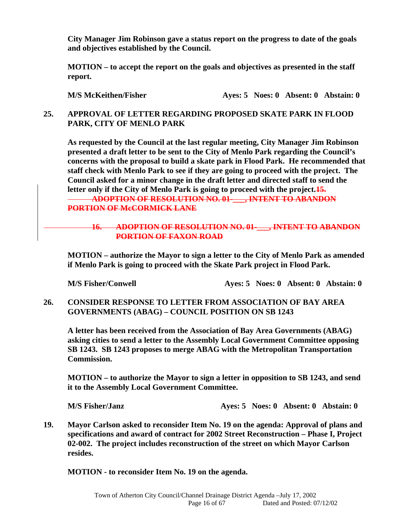**City Manager Jim Robinson gave a status report on the progress to date of the goals and objectives established by the Council.** 

 **MOTION – to accept the report on the goals and objectives as presented in the staff report.** 

**M/S McKeithen/Fisher Ayes: 5 Noes: 0 Absent: 0 Abstain: 0** 

# **25. APPROVAL OF LETTER REGARDING PROPOSED SKATE PARK IN FLOOD PARK, CITY OF MENLO PARK**

 **As requested by the Council at the last regular meeting, City Manager Jim Robinson presented a draft letter to be sent to the City of Menlo Park regarding the Council's concerns with the proposal to build a skate park in Flood Park. He recommended that staff check with Menlo Park to see if they are going to proceed with the project. The Council asked for a minor change in the draft letter and directed staff to send the letter only if the City of Menlo Park is going to proceed with the project.15. ADOPTION OF RESOLUTION NO. 01-\_\_\_, INTENT TO ABANDON** 

**PORTION OF McCORMICK LANE**

### **16. ADOPTION OF RESOLUTION NO. 01-\_\_\_, INTENT TO ABANDON PORTION OF FAXON ROAD**

 **MOTION – authorize the Mayor to sign a letter to the City of Menlo Park as amended if Menlo Park is going to proceed with the Skate Park project in Flood Park.** 

**M/S Fisher/Conwell Ayes: 5 Noes: 0 Absent: 0 Abstain: 0** 

**26. CONSIDER RESPONSE TO LETTER FROM ASSOCIATION OF BAY AREA GOVERNMENTS (ABAG) – COUNCIL POSITION ON SB 1243** 

 **A letter has been received from the Association of Bay Area Governments (ABAG) asking cities to send a letter to the Assembly Local Government Committee opposing SB 1243. SB 1243 proposes to merge ABAG with the Metropolitan Transportation Commission.** 

 **MOTION – to authorize the Mayor to sign a letter in opposition to SB 1243, and send it to the Assembly Local Government Committee.** 

 **M/S Fisher/Janz Ayes: 5 Noes: 0 Absent: 0 Abstain: 0** 

**19. Mayor Carlson asked to reconsider Item No. 19 on the agenda: Approval of plans and specifications and award of contract for 2002 Street Reconstruction – Phase I, Project 02-002. The project includes reconstruction of the street on which Mayor Carlson resides.** 

**MOTION - to reconsider Item No. 19 on the agenda.**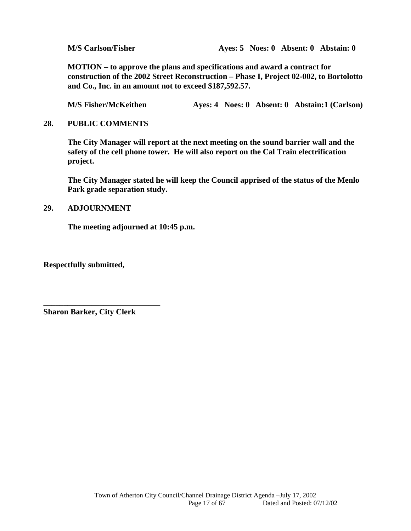**M/S Carlson/Fisher Ayes: 5 Noes: 0 Absent: 0 Abstain: 0** 

 **MOTION – to approve the plans and specifications and award a contract for construction of the 2002 Street Reconstruction – Phase I, Project 02-002, to Bortolotto and Co., Inc. in an amount not to exceed \$187,592.57.** 

**M/S Fisher/McKeithen 4yes: 4 Noes: 0 Absent: 0 Abstain:1 (Carlson)** 

### **28. PUBLIC COMMENTS**

 **The City Manager will report at the next meeting on the sound barrier wall and the safety of the cell phone tower. He will also report on the Cal Train electrification project.** 

 **The City Manager stated he will keep the Council apprised of the status of the Menlo Park grade separation study.** 

### **29. ADJOURNMENT**

 **The meeting adjourned at 10:45 p.m.** 

**Respectfully submitted,** 

**Sharon Barker, City Clerk** 

**\_\_\_\_\_\_\_\_\_\_\_\_\_\_\_\_\_\_\_\_\_\_\_\_\_\_\_\_\_**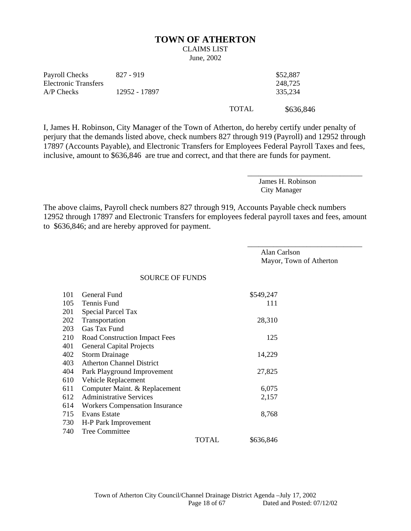#### **TOWN OF ATHERTON**

# CLAIMS LIST

June, 2002

| Payroll Checks       | 827 - 919     |              | \$52,887  |
|----------------------|---------------|--------------|-----------|
| Electronic Transfers |               |              | 248.725   |
| A/P Checks           | 12952 - 17897 |              | 335.234   |
|                      |               | <b>TOTAL</b> | \$636,846 |

I, James H. Robinson, City Manager of the Town of Atherton, do hereby certify under penalty of perjury that the demands listed above, check numbers 827 through 919 (Payroll) and 12952 through 17897 (Accounts Payable), and Electronic Transfers for Employees Federal Payroll Taxes and fees, inclusive, amount to \$636,846 are true and correct, and that there are funds for payment.

> James H. Robinson City Manager

\_\_\_\_\_\_\_\_\_\_\_\_\_\_\_\_\_\_\_\_\_\_\_\_\_\_\_\_\_\_\_

The above claims, Payroll check numbers 827 through 919, Accounts Payable check numbers 12952 through 17897 and Electronic Transfers for employees federal payroll taxes and fees, amount to \$636,846; and are hereby approved for payment.

> Alan Carlson Mayor, Town of Atherton

\_\_\_\_\_\_\_\_\_\_\_\_\_\_\_\_\_\_\_\_\_\_\_\_\_\_\_\_\_\_\_

SOURCE OF FUNDS

| 101 | General Fund                          |       | \$549,247 |
|-----|---------------------------------------|-------|-----------|
| 105 | Tennis Fund                           |       | 111       |
| 201 | Special Parcel Tax                    |       |           |
| 202 | Transportation                        |       | 28,310    |
| 203 | Gas Tax Fund                          |       |           |
| 210 | <b>Road Construction Impact Fees</b>  |       | 125       |
| 401 | <b>General Capital Projects</b>       |       |           |
| 402 | <b>Storm Drainage</b>                 |       | 14,229    |
| 403 | <b>Atherton Channel District</b>      |       |           |
| 404 | Park Playground Improvement           |       | 27,825    |
| 610 | Vehicle Replacement                   |       |           |
| 611 | Computer Maint. & Replacement         |       | 6,075     |
| 612 | <b>Administrative Services</b>        |       | 2,157     |
| 614 | <b>Workers Compensation Insurance</b> |       |           |
| 715 | Evans Estate                          |       | 8,768     |
| 730 | H-P Park Improvement                  |       |           |
| 740 | <b>Tree Committee</b>                 |       |           |
|     |                                       | TOTAL | \$636,846 |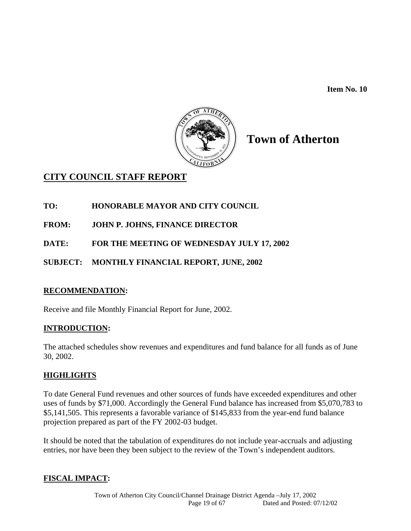**Item No. 10** 



# **Town of Atherton**

# **CITY COUNCIL STAFF REPORT**

# **TO: HONORABLE MAYOR AND CITY COUNCIL**

- **FROM: JOHN P. JOHNS, FINANCE DIRECTOR**
- **DATE: FOR THE MEETING OF WEDNESDAY JULY 17, 2002**
- **SUBJECT: MONTHLY FINANCIAL REPORT, JUNE, 2002**

# **RECOMMENDATION:**

Receive and file Monthly Financial Report for June, 2002.

# **INTRODUCTION:**

The attached schedules show revenues and expenditures and fund balance for all funds as of June 30, 2002.

# **HIGHLIGHTS**

To date General Fund revenues and other sources of funds have exceeded expenditures and other uses of funds by \$71,000. Accordingly the General Fund balance has increased from \$5,070,783 to \$5,141,505. This represents a favorable variance of \$145,833 from the year-end fund balance projection prepared as part of the FY 2002-03 budget.

It should be noted that the tabulation of expenditures do not include year-accruals and adjusting entries, nor have been they been subject to the review of the Town's independent auditors.

# **FISCAL IMPACT:**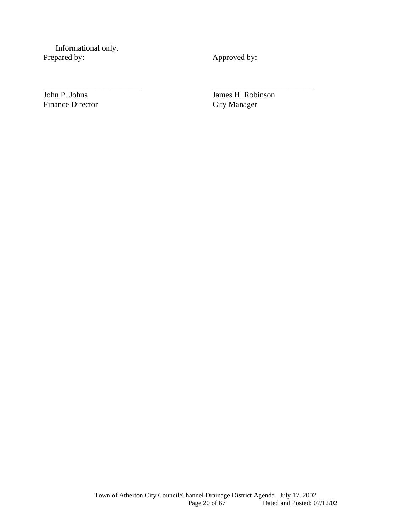Informational only. Prepared by: Approved by:

\_\_\_\_\_\_\_\_\_\_\_\_\_\_\_\_\_\_\_\_\_\_\_\_ \_\_\_\_\_\_\_\_\_\_\_\_\_\_\_\_\_\_\_\_\_\_\_\_\_

John P. Johns James H. Robinson<br>Finance Director City Manager **City Manager**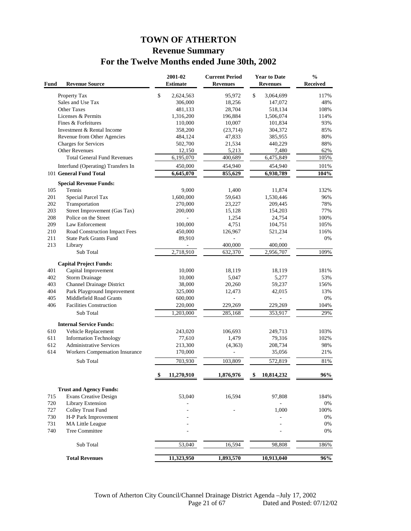# **TOWN OF ATHERTON Revenue Summary For the Twelve Months ended June 30th, 2002**

| Fund | <b>Revenue Source</b>                                          | 2001-02<br><b>Estimate</b> | <b>Current Period</b><br><b>Revenues</b> | <b>Year to Date</b><br><b>Revenues</b> | $\frac{0}{0}$<br><b>Received</b> |
|------|----------------------------------------------------------------|----------------------------|------------------------------------------|----------------------------------------|----------------------------------|
|      | Property Tax                                                   | \$<br>2,624,563            | 95,972                                   | \$<br>3,064,699                        | 117%                             |
|      | Sales and Use Tax                                              | 306,000                    | 18,256                                   | 147,072                                | 48%                              |
|      | Other Taxes                                                    | 481,133                    | 28,704                                   | 518,134                                | 108%                             |
|      | Licenses & Permits                                             | 1,316,200                  | 196,884                                  | 1,506,074                              | 114%                             |
|      | Fines & Forfeitures                                            | 110,000                    | 10,007                                   | 101,834                                | 93%                              |
|      | Investment & Rental Income                                     | 358,200                    | (23,714)                                 | 304,372                                | 85%                              |
|      | Revenue from Other Agencies                                    | 484,124                    | 47,833                                   | 385,955                                | 80%                              |
|      | Charges for Services                                           | 502,700                    | 21,534                                   | 440,229                                | 88%                              |
|      | <b>Other Revenues</b>                                          | 12,150                     | 5,213                                    | 7,480                                  | 62%                              |
|      | <b>Total General Fund Revenues</b>                             | 6,195,070                  | 400,689                                  | 6,475,849                              | 105%                             |
|      | Interfund (Operating) Transfers In                             | 450,000                    | 454,940                                  | 454,940                                | 101%                             |
|      | 101 General Fund Total                                         | 6,645,070                  | 855,629                                  | 6,930,789                              | 104%                             |
|      | <b>Special Revenue Funds:</b>                                  |                            |                                          |                                        |                                  |
| 105  | Tennis                                                         | 9,000                      | 1,400                                    | 11,874                                 | 132%                             |
| 201  | Special Parcel Tax                                             | 1,600,000                  | 59,643                                   | 1,530,446                              | 96%                              |
| 202  | Transportation                                                 | 270,000                    | 23,227                                   | 209,445                                | 78%                              |
| 203  | Street Improvement (Gas Tax)                                   | 200,000                    | 15,128                                   | 154,203                                | 77%                              |
| 208  | Police on the Street                                           |                            | 1,254                                    | 24,754                                 | 100%                             |
| 209  | Law Enforcement                                                | 100,000                    | 4,751                                    | 104,751                                | 105%                             |
| 210  | Road Construction Impact Fees                                  | 450,000                    | 126,967                                  | 521,234                                | 116%                             |
| 211  | <b>State Park Grants Fund</b>                                  | 89,910                     |                                          |                                        | 0%                               |
| 213  | Library                                                        |                            | 400,000                                  | 400,000                                |                                  |
|      | Sub Total                                                      | 2,718,910                  | 632,370                                  | 2,956,707                              | 109%                             |
|      |                                                                |                            |                                          |                                        |                                  |
| 401  | <b>Capital Project Funds:</b><br>Capital Improvement           | 10,000                     |                                          |                                        | 181%                             |
| 402  |                                                                |                            | 18,119<br>5,047                          | 18,119<br>5,277                        | 53%                              |
| 403  | <b>Storm Drainage</b><br>Channel Drainage District             | 10,000<br>38,000           | 20,260                                   | 59,237                                 | 156%                             |
| 404  | Park Playground Improvement                                    | 325,000                    | 12,473                                   | 42,015                                 | 13%                              |
| 405  | Middlefield Road Grants                                        | 600,000                    |                                          |                                        | 0%                               |
| 406  | <b>Facilities Construction</b>                                 | 220,000                    | 229,269                                  | 229,269                                | 104%                             |
|      |                                                                |                            |                                          |                                        |                                  |
|      | Sub Total                                                      | 1,203,000                  | 285,168                                  | 353,917                                | 29%                              |
|      | <b>Internal Service Funds:</b>                                 |                            |                                          |                                        |                                  |
| 610  | Vehicle Replacement                                            | 243,020                    | 106,693                                  | 249,713                                | 103%                             |
| 611  | <b>Information Technology</b>                                  | 77,610                     | 1,479                                    | 79,316                                 | 102%                             |
| 612  | <b>Administrative Services</b>                                 | 213,300                    | (4,363)                                  | 208,734                                | 98%                              |
| 614  | Workers Compensation Insurance                                 | 170,000                    | ÷,                                       | 35,056                                 | 21%                              |
|      | Sub Total                                                      | 703,930                    | 103,809                                  | 572,819                                | 81%                              |
|      |                                                                | 11,270,910                 | 1,876,976                                | 10,814,232                             | 96%                              |
|      |                                                                |                            |                                          |                                        |                                  |
|      | <b>Trust and Agency Funds:</b><br><b>Evans Creative Design</b> | 53,040                     | 16,594                                   | 97,808                                 | 184%                             |
| 715  |                                                                |                            |                                          |                                        |                                  |
| 720  | Library Extension                                              |                            |                                          |                                        | 0%                               |
| 727  | Colley Trust Fund                                              |                            |                                          | 1,000                                  | 100%                             |
| 730  | H-P Park Improvement                                           |                            |                                          |                                        | 0%                               |
| 731  | MA Little League<br><b>Tree Committee</b>                      |                            |                                          |                                        | 0%                               |
| 740  |                                                                |                            |                                          |                                        | 0%                               |
|      | Sub Total                                                      | 53,040                     | 16,594                                   | 98,808                                 | 186%                             |
|      | <b>Total Revenues</b>                                          | 11,323,950                 | 1,893,570                                | 10,913,040                             | 96%                              |
|      |                                                                |                            |                                          |                                        |                                  |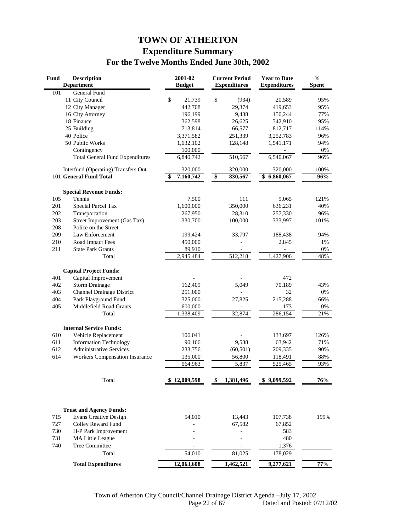# **TOWN OF ATHERTON Expenditure Summary For the Twelve Months Ended June 30th, 2002**

| Fund | <b>Description</b><br><b>Department</b> | 2001-02<br><b>Budget</b> |                 | <b>Current Period</b><br><b>Expenditures</b> | <b>Year to Date</b><br><b>Expenditures</b> | $\frac{0}{0}$<br><b>Spent</b> |
|------|-----------------------------------------|--------------------------|-----------------|----------------------------------------------|--------------------------------------------|-------------------------------|
| 101  | General Fund                            |                          |                 |                                              |                                            |                               |
|      | 11 City Council                         | \$<br>21,739             | \$              | (934)                                        | 20,589                                     | 95%                           |
|      | 12 City Manager                         | 442,708                  |                 | 29,374                                       | 419,653                                    | 95%                           |
|      | 16 City Attorney                        | 196,199                  |                 | 9,438                                        | 150,244                                    | 77%                           |
|      | 18 Finance                              | 362,598                  |                 | 26,625                                       | 342,910                                    | 95%                           |
|      | 25 Building                             | 713,814                  |                 | 66,577                                       | 812,717                                    | 114%                          |
|      | 40 Police                               | 3,371,582                |                 | 251,339                                      | 3,252,783                                  | 96%                           |
|      | 50 Public Works                         | 1,632,102                |                 | 128,148                                      | 1,541,171                                  | 94%                           |
|      | Contingency                             | 100,000                  |                 |                                              |                                            | 0%                            |
|      | <b>Total General Fund Expenditures</b>  | 6,840,742                |                 | 510,567                                      | 6,540,067                                  | 96%                           |
|      | Interfund (Operating) Transfers Out     | 320,000                  |                 | 320,000                                      | 320,000                                    | 100%                          |
|      | 101 General Fund Total                  | 7,160,742                | $\overline{\$}$ | 830,567                                      | \$<br>6,860,067                            | 96%                           |
|      | <b>Special Revenue Funds:</b>           |                          |                 |                                              |                                            |                               |
| 105  | Tennis                                  | 7,500                    |                 | 111                                          | 9,065                                      | 121%                          |
| 201  | <b>Special Parcel Tax</b>               | 1,600,000                |                 | 350,000                                      | 636,231                                    | 40%                           |
| 202  | Transportation                          | 267,950                  |                 | 28,310                                       | 257,330                                    | 96%                           |
| 203  | Street Improvement (Gas Tax)            | 330,700                  |                 | 100,000                                      | 333,997                                    | 101%                          |
| 208  | Police on the Street                    |                          |                 |                                              |                                            |                               |
| 209  | Law Enforcement                         | 199,424                  |                 | 33,797                                       | 188,438                                    | 94%                           |
| 210  | Road Impact Fees                        | 450,000                  |                 |                                              | 2,845                                      | 1%                            |
| 211  | <b>State Park Grants</b>                | 89,910                   |                 |                                              |                                            | 0%                            |
|      | Total                                   | 2,945,484                |                 | 512,218                                      | 1,427,906                                  | 48%                           |
|      | <b>Capital Project Funds:</b>           |                          |                 |                                              |                                            |                               |
| 401  | Capital Improvement                     |                          |                 |                                              | 472                                        |                               |
| 402  | <b>Storm Drainage</b>                   | 162,409                  |                 | 5,049                                        | 70,189                                     | 43%                           |
| 403  | <b>Channel Drainage District</b>        | 251,000                  |                 |                                              | 32                                         | 0%                            |
| 404  | Park Playground Fund                    | 325,000                  |                 | 27,825                                       | 215,288                                    | 66%                           |
| 405  | Middlefield Road Grants                 | 600,000                  |                 |                                              | 173                                        | 0%                            |
|      | Total                                   | 1,338,409                |                 | 32,874                                       | 286,154                                    | 21%                           |
|      | <b>Internal Service Funds:</b>          |                          |                 |                                              |                                            |                               |
| 610  | Vehicle Replacement                     | 106,041                  |                 |                                              | 133,697                                    | 126%                          |
| 611  | <b>Information Technology</b>           | 90,166                   |                 | 9,538                                        | 63,942                                     | 71%                           |
| 612  | <b>Administrative Services</b>          | 233,756                  |                 | (60, 501)                                    | 209,335                                    | 90%                           |
| 614  | <b>Workers Compensation Insurance</b>   | 135,000                  |                 | 56,800                                       | 118,491                                    | 88%                           |
|      |                                         | 564,963                  |                 | 5,837                                        | 525,465                                    | 93%                           |
|      | Total                                   | \$12,009,598             | SS.             | 1,381,496                                    | \$9,099,592                                | 76%                           |
|      |                                         |                          |                 |                                              |                                            |                               |
|      | <b>Trust and Agency Funds:</b>          |                          |                 |                                              |                                            |                               |
| 715  | <b>Evans Creative Design</b>            | 54,010                   |                 | 13,443                                       | 107,738                                    | 199%                          |
| 727  | Colley Reward Fund                      |                          |                 | 67,582                                       | 67,852                                     |                               |
| 730  | H-P Park Improvement                    |                          |                 |                                              | 583                                        |                               |
| 731  | <b>MA Little League</b>                 |                          |                 |                                              | 480                                        |                               |
| 740  | Tree Committee                          |                          |                 |                                              | 1,376                                      |                               |
|      | Total                                   | 54,010                   |                 | 81,025                                       | 178,029                                    |                               |
|      | <b>Total Expenditures</b>               | 12,063,608               |                 | 1,462,521                                    | 9,277,621                                  | 77%                           |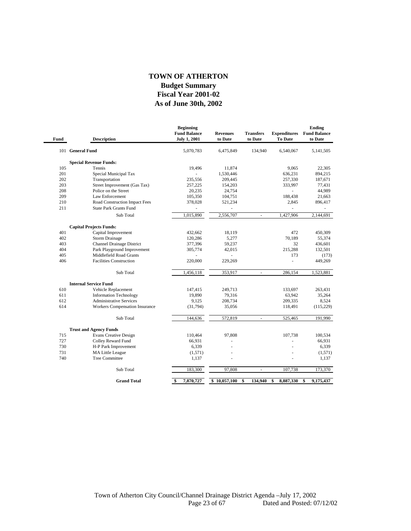#### **As of June 30th, 2002 Fiscal Year 2001-02 Budget Summary TOWN OF ATHERTON**

−

| Fund | <b>Description</b>               | <b>Beginning</b><br><b>Fund Balance</b><br><b>July 1, 2001</b> | <b>Revenues</b><br>to Date | <b>Transfers</b><br>to Date | <b>Expenditures</b><br><b>To Date</b> | <b>Ending</b><br><b>Fund Balance</b><br>to Date |
|------|----------------------------------|----------------------------------------------------------------|----------------------------|-----------------------------|---------------------------------------|-------------------------------------------------|
|      | 101 General Fund                 | 5,070,783                                                      | 6,475,849                  | 134,940                     | 6,540,067                             | 5,141,505                                       |
|      | <b>Special Revenue Funds:</b>    |                                                                |                            |                             |                                       |                                                 |
| 105  | Tennis                           | 19,496                                                         | 11,874                     |                             | 9.065                                 | 22,305                                          |
| 201  | Special Municipal Tax            |                                                                | 1,530,446                  |                             | 636,231                               | 894,215                                         |
| 202  | Transportation                   | 235,556                                                        | 209,445                    |                             | 257,330                               | 187,671                                         |
| 203  | Street Improvement (Gas Tax)     | 257,225                                                        | 154,203                    |                             | 333,997                               | 77,431                                          |
| 208  | Police on the Street             | 20,235                                                         | 24,754                     |                             | ä,                                    | 44,989                                          |
| 209  | Law Enforcement                  | 105,350                                                        | 104,751                    |                             | 188,438                               | 21,663                                          |
| 210  | Road Construction Impact Fees    | 378,028                                                        | 521,234                    |                             | 2,845                                 | 896,417                                         |
| 211  | <b>State Park Grants Fund</b>    |                                                                | ÷,                         |                             | ä,                                    |                                                 |
|      | Sub Total                        | 1,015,890                                                      | 2,556,707                  | $\sim$                      | 1,427,906                             | 2,144,691                                       |
|      | <b>Capital Projects Funds:</b>   |                                                                |                            |                             |                                       |                                                 |
| 401  | Capital Improvement              | 432,662                                                        | 18,119                     |                             | 472                                   | 450,309                                         |
| 402  | <b>Storm Drainage</b>            | 120,286                                                        | 5,277                      |                             | 70.189                                | 55,374                                          |
| 403  | <b>Channel Drainage District</b> | 377,396                                                        | 59,237                     |                             | 32                                    | 436,601                                         |
| 404  | Park Playground Improvement      | 305,774                                                        | 42,015                     |                             | 215,288                               | 132.501                                         |
| 405  | Middlefield Road Grants          |                                                                |                            |                             | 173                                   | (173)                                           |
| 406  | <b>Facilities Construction</b>   | 220,000                                                        | 229,269                    |                             | L,                                    | 449,269                                         |
|      | Sub Total                        | 1,456,118                                                      | 353,917                    | $\blacksquare$              | 286.154                               | 1,523,881                                       |
|      | <b>Internal Service Fund</b>     |                                                                |                            |                             |                                       |                                                 |
| 610  | Vehicle Replacement              | 147,415                                                        | 249,713                    |                             | 133,697                               | 263,431                                         |
| 611  | <b>Information Technology</b>    | 19,890                                                         | 79,316                     |                             | 63,942                                | 35,264                                          |
| 612  | <b>Administrative Services</b>   | 9,125                                                          | 208,734                    |                             | 209,335                               | 8,524                                           |
| 614  | Workers Compensation Insurance   | (31,794)                                                       | 35,056                     |                             | 118,491                               | (115, 229)                                      |
|      | Sub Total                        | 144,636                                                        | 572,819                    | $\sim$                      | 525,465                               |                                                 |
|      |                                  |                                                                |                            |                             |                                       | 191,990                                         |
|      | <b>Trust and Agency Funds</b>    |                                                                |                            |                             |                                       |                                                 |
| 715  | <b>Evans Creative Design</b>     | 110,464                                                        | 97,808                     |                             | 107,738                               | 100,534                                         |
| 727  | Colley Reward Fund               | 66,931                                                         |                            |                             |                                       | 66.931                                          |
| 730  | H-P Park Improvement             | 6,339                                                          |                            |                             |                                       | 6,339                                           |
| 731  | <b>MA Little League</b>          | (1,571)                                                        |                            |                             |                                       | (1,571)                                         |
| 740  | <b>Tree Committee</b>            | 1,137                                                          |                            |                             |                                       | 1,137                                           |
|      | Sub Total                        | 183,300                                                        | 97,808                     |                             | 107,738                               | 173,370                                         |
|      | <b>Grand Total</b>               | 7,870,727<br>\$                                                | \$10,057,100               | \$<br>134,940               | 8,887,330<br>\$                       | 9,175,437<br>\$                                 |
|      |                                  |                                                                |                            |                             |                                       |                                                 |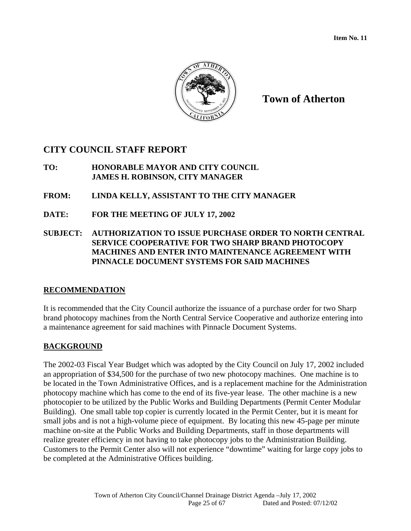

# **CITY COUNCIL STAFF REPORT**

- **TO: HONORABLE MAYOR AND CITY COUNCIL JAMES H. ROBINSON, CITY MANAGER**
- **FROM: LINDA KELLY, ASSISTANT TO THE CITY MANAGER**
- **DATE: FOR THE MEETING OF JULY 17, 2002**
- **SUBJECT: AUTHORIZATION TO ISSUE PURCHASE ORDER TO NORTH CENTRAL SERVICE COOPERATIVE FOR TWO SHARP BRAND PHOTOCOPY MACHINES AND ENTER INTO MAINTENANCE AGREEMENT WITH PINNACLE DOCUMENT SYSTEMS FOR SAID MACHINES**

# **RECOMMENDATION**

It is recommended that the City Council authorize the issuance of a purchase order for two Sharp brand photocopy machines from the North Central Service Cooperative and authorize entering into a maintenance agreement for said machines with Pinnacle Document Systems.

# **BACKGROUND**

The 2002-03 Fiscal Year Budget which was adopted by the City Council on July 17, 2002 included an appropriation of \$34,500 for the purchase of two new photocopy machines. One machine is to be located in the Town Administrative Offices, and is a replacement machine for the Administration photocopy machine which has come to the end of its five-year lease. The other machine is a new photocopier to be utilized by the Public Works and Building Departments (Permit Center Modular Building). One small table top copier is currently located in the Permit Center, but it is meant for small jobs and is not a high-volume piece of equipment. By locating this new 45-page per minute machine on-site at the Public Works and Building Departments, staff in those departments will realize greater efficiency in not having to take photocopy jobs to the Administration Building. Customers to the Permit Center also will not experience "downtime" waiting for large copy jobs to be completed at the Administrative Offices building.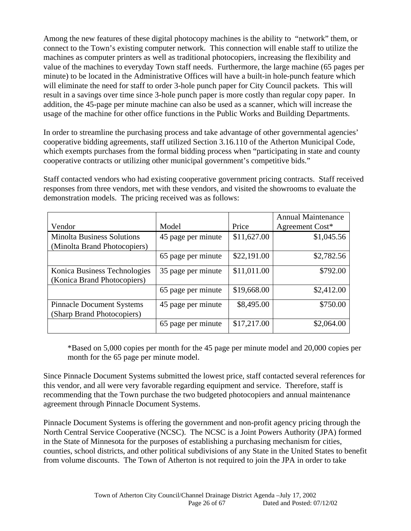Among the new features of these digital photocopy machines is the ability to "network" them, or connect to the Town's existing computer network. This connection will enable staff to utilize the machines as computer printers as well as traditional photocopiers, increasing the flexibility and value of the machines to everyday Town staff needs. Furthermore, the large machine (65 pages per minute) to be located in the Administrative Offices will have a built-in hole-punch feature which will eliminate the need for staff to order 3-hole punch paper for City Council packets. This will result in a savings over time since 3-hole punch paper is more costly than regular copy paper. In addition, the 45-page per minute machine can also be used as a scanner, which will increase the usage of the machine for other office functions in the Public Works and Building Departments.

In order to streamline the purchasing process and take advantage of other governmental agencies' cooperative bidding agreements, staff utilized Section 3.16.110 of the Atherton Municipal Code, which exempts purchases from the formal bidding process when "participating in state and county" cooperative contracts or utilizing other municipal government's competitive bids."

Staff contacted vendors who had existing cooperative government pricing contracts. Staff received responses from three vendors, met with these vendors, and visited the showrooms to evaluate the demonstration models. The pricing received was as follows:

|                                                                   |                    |             | <b>Annual Maintenance</b> |
|-------------------------------------------------------------------|--------------------|-------------|---------------------------|
| Vendor                                                            | Model              | Price       | Agreement Cost*           |
| <b>Minolta Business Solutions</b><br>(Minolta Brand Photocopiers) | 45 page per minute | \$11,627.00 | \$1,045.56                |
|                                                                   | 65 page per minute | \$22,191.00 | \$2,782.56                |
| Konica Business Technologies<br>(Konica Brand Photocopiers)       | 35 page per minute | \$11,011.00 | \$792.00                  |
|                                                                   | 65 page per minute | \$19,668.00 | \$2,412.00                |
| <b>Pinnacle Document Systems</b><br>(Sharp Brand Photocopiers)    | 45 page per minute | \$8,495.00  | \$750.00                  |
|                                                                   | 65 page per minute | \$17,217.00 | \$2,064.00                |

\*Based on 5,000 copies per month for the 45 page per minute model and 20,000 copies per month for the 65 page per minute model.

Since Pinnacle Document Systems submitted the lowest price, staff contacted several references for this vendor, and all were very favorable regarding equipment and service. Therefore, staff is recommending that the Town purchase the two budgeted photocopiers and annual maintenance agreement through Pinnacle Document Systems.

Pinnacle Document Systems is offering the government and non-profit agency pricing through the North Central Service Cooperative (NCSC). The NCSC is a Joint Powers Authority (JPA) formed in the State of Minnesota for the purposes of establishing a purchasing mechanism for cities, counties, school districts, and other political subdivisions of any State in the United States to benefit from volume discounts. The Town of Atherton is not required to join the JPA in order to take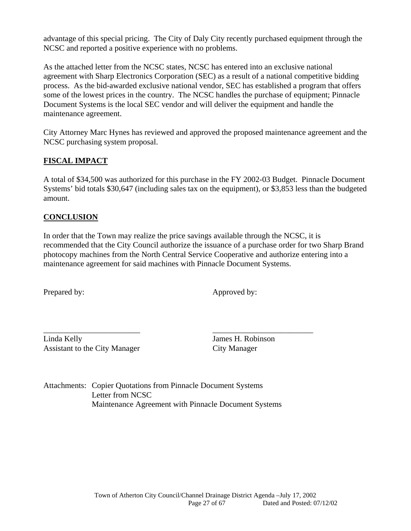advantage of this special pricing. The City of Daly City recently purchased equipment through the NCSC and reported a positive experience with no problems.

As the attached letter from the NCSC states, NCSC has entered into an exclusive national agreement with Sharp Electronics Corporation (SEC) as a result of a national competitive bidding process. As the bid-awarded exclusive national vendor, SEC has established a program that offers some of the lowest prices in the country. The NCSC handles the purchase of equipment; Pinnacle Document Systems is the local SEC vendor and will deliver the equipment and handle the maintenance agreement.

City Attorney Marc Hynes has reviewed and approved the proposed maintenance agreement and the NCSC purchasing system proposal.

# **FISCAL IMPACT**

A total of \$34,500 was authorized for this purchase in the FY 2002-03 Budget. Pinnacle Document Systems' bid totals \$30,647 (including sales tax on the equipment), or \$3,853 less than the budgeted amount.

# **CONCLUSION**

In order that the Town may realize the price savings available through the NCSC, it is recommended that the City Council authorize the issuance of a purchase order for two Sharp Brand photocopy machines from the North Central Service Cooperative and authorize entering into a maintenance agreement for said machines with Pinnacle Document Systems.

Prepared by: Approved by:

\_\_\_\_\_\_\_\_\_\_\_\_\_\_\_\_\_\_\_\_\_\_\_\_ \_\_\_\_\_\_\_\_\_\_\_\_\_\_\_\_\_\_\_\_\_\_\_\_\_ Linda Kelly James H. Robinson Assistant to the City Manager City Manager

Attachments: Copier Quotations from Pinnacle Document Systems Letter from NCSC Maintenance Agreement with Pinnacle Document Systems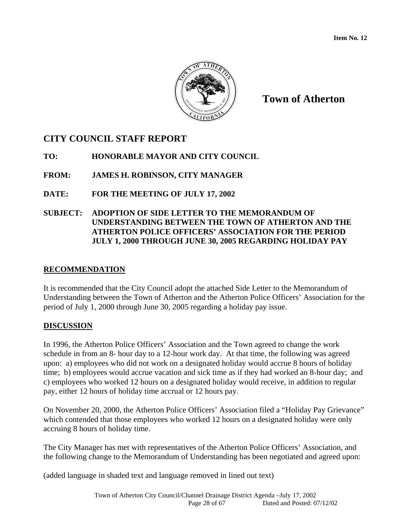

# **CITY COUNCIL STAFF REPORT**

**TO: HONORABLE MAYOR AND CITY COUNCIL** 

**FROM: JAMES H. ROBINSON, CITY MANAGER** 

**DATE: FOR THE MEETING OF JULY 17, 2002** 

# **SUBJECT: ADOPTION OF SIDE LETTER TO THE MEMORANDUM OF UNDERSTANDING BETWEEN THE TOWN OF ATHERTON AND THE ATHERTON POLICE OFFICERS' ASSOCIATION FOR THE PERIOD JULY 1, 2000 THROUGH JUNE 30, 2005 REGARDING HOLIDAY PAY**

# **RECOMMENDATION**

It is recommended that the City Council adopt the attached Side Letter to the Memorandum of Understanding between the Town of Atherton and the Atherton Police Officers' Association for the period of July 1, 2000 through June 30, 2005 regarding a holiday pay issue.

# **DISCUSSION**

In 1996, the Atherton Police Officers' Association and the Town agreed to change the work schedule in from an 8- hour day to a 12-hour work day. At that time, the following was agreed upon: a) employees who did not work on a designated holiday would accrue 8 hours of holiday time; b) employees would accrue vacation and sick time as if they had worked an 8-hour day; and c) employees who worked 12 hours on a designated holiday would receive, in addition to regular pay, either 12 hours of holiday time accrual or 12 hours pay.

On November 20, 2000, the Atherton Police Officers' Association filed a "Holiday Pay Grievance" which contended that those employees who worked 12 hours on a designated holiday were only accruing 8 hours of holiday time.

The City Manager has met with representatives of the Atherton Police Officers' Association, and the following change to the Memorandum of Understanding has been negotiated and agreed upon:

(added language in shaded text and language removed in lined out text)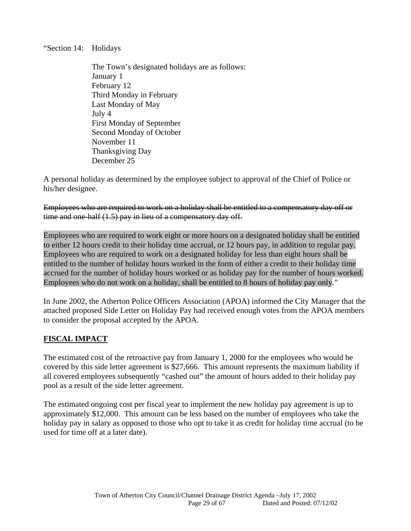"Section 14: Holidays

The Town's designated holidays are as follows: January 1 February 12 Third Monday in February Last Monday of May July 4 First Monday of September Second Monday of October November 11 Thanksgiving Day December 25

A personal holiday as determined by the employee subject to approval of the Chief of Police or his/her designee.

Employees who are required to work on a holiday shall be entitled to a compensatory day off or time and one-half (1.5) pay in lieu of a compensatory day off.

Employees who are required to work eight or more hours on a designated holiday shall be entitled to either 12 hours credit to their holiday time accrual, or 12 hours pay, in addition to regular pay. Employees who are required to work on a designated holiday for less than eight hours shall be entitled to the number of holiday hours worked in the form of either a credit to their holiday time accrued for the number of holiday hours worked or as holiday pay for the number of hours worked. Employees who do not work on a holiday, shall be entitled to 8 hours of holiday pay only."

In June 2002, the Atherton Police Officers Association (APOA) informed the City Manager that the attached proposed Side Letter on Holiday Pay had received enough votes from the APOA members to consider the proposal accepted by the APOA.

# **FISCAL IMPACT**

The estimated cost of the retroactive pay from January 1, 2000 for the employees who would be covered by this side letter agreement is \$27,666. This amount represents the maximum liability if all covered employees subsequently "cashed out" the amount of hours added to their holiday pay pool as a result of the side letter agreement.

The estimated ongoing cost per fiscal year to implement the new holiday pay agreement is up to approximately \$12,000. This amount can be less based on the number of employees who take the holiday pay in salary as opposed to those who opt to take it as credit for holiday time accrual (to be used for time off at a later date).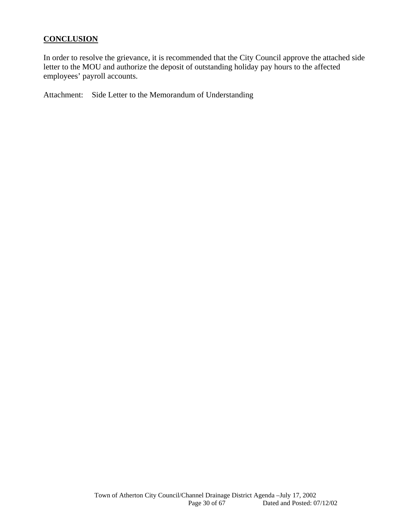# **CONCLUSION**

In order to resolve the grievance, it is recommended that the City Council approve the attached side letter to the MOU and authorize the deposit of outstanding holiday pay hours to the affected employees' payroll accounts.

Attachment: Side Letter to the Memorandum of Understanding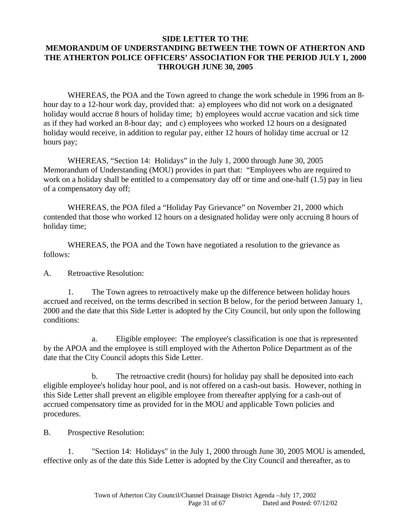# **SIDE LETTER TO THE MEMORANDUM OF UNDERSTANDING BETWEEN THE TOWN OF ATHERTON AND THE ATHERTON POLICE OFFICERS' ASSOCIATION FOR THE PERIOD JULY 1, 2000 THROUGH JUNE 30, 2005**

WHEREAS, the POA and the Town agreed to change the work schedule in 1996 from an 8 hour day to a 12-hour work day, provided that: a) employees who did not work on a designated holiday would accrue 8 hours of holiday time; b) employees would accrue vacation and sick time as if they had worked an 8-hour day; and c) employees who worked 12 hours on a designated holiday would receive, in addition to regular pay, either 12 hours of holiday time accrual or 12 hours pay;

WHEREAS, "Section 14: Holidays" in the July 1, 2000 through June 30, 2005 Memorandum of Understanding (MOU) provides in part that: "Employees who are required to work on a holiday shall be entitled to a compensatory day off or time and one-half (1.5) pay in lieu of a compensatory day off;

WHEREAS, the POA filed a "Holiday Pay Grievance" on November 21, 2000 which contended that those who worked 12 hours on a designated holiday were only accruing 8 hours of holiday time;

WHEREAS, the POA and the Town have negotiated a resolution to the grievance as follows:

A. Retroactive Resolution:

 1. The Town agrees to retroactively make up the difference between holiday hours accrued and received, on the terms described in section B below, for the period between January 1, 2000 and the date that this Side Letter is adopted by the City Council, but only upon the following conditions:

 a. Eligible employee: The employee's classification is one that is represented by the APOA and the employee is still employed with the Atherton Police Department as of the date that the City Council adopts this Side Letter.

 b. The retroactive credit (hours) for holiday pay shall be deposited into each eligible employee's holiday hour pool, and is not offered on a cash-out basis. However, nothing in this Side Letter shall prevent an eligible employee from thereafter applying for a cash-out of accrued compensatory time as provided for in the MOU and applicable Town policies and procedures.

B. Prospective Resolution:

 1. "Section 14: Holidays" in the July 1, 2000 through June 30, 2005 MOU is amended, effective only as of the date this Side Letter is adopted by the City Council and thereafter, as to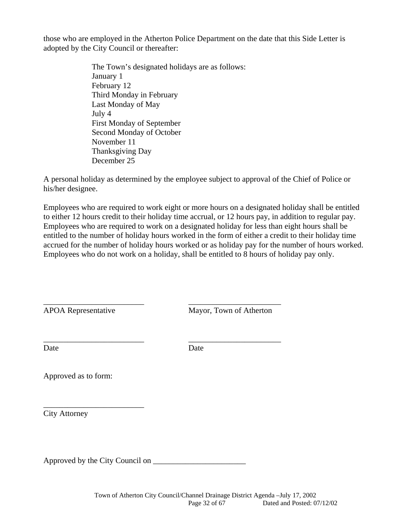those who are employed in the Atherton Police Department on the date that this Side Letter is adopted by the City Council or thereafter:

> The Town's designated holidays are as follows: January 1 February 12 Third Monday in February Last Monday of May July 4 First Monday of September Second Monday of October November 11 Thanksgiving Day December 25

A personal holiday as determined by the employee subject to approval of the Chief of Police or his/her designee.

Employees who are required to work eight or more hours on a designated holiday shall be entitled to either 12 hours credit to their holiday time accrual, or 12 hours pay, in addition to regular pay. Employees who are required to work on a designated holiday for less than eight hours shall be entitled to the number of holiday hours worked in the form of either a credit to their holiday time accrued for the number of holiday hours worked or as holiday pay for the number of hours worked. Employees who do not work on a holiday, shall be entitled to 8 hours of holiday pay only.

APOA Representative Mayor, Town of Atherton

Date Date Date

\_\_\_\_\_\_\_\_\_\_\_\_\_\_\_\_\_\_\_\_\_\_\_\_\_ \_\_\_\_\_\_\_\_\_\_\_\_\_\_\_\_\_\_\_\_\_\_\_

\_\_\_\_\_\_\_\_\_\_\_\_\_\_\_\_\_\_\_\_\_\_\_\_\_ \_\_\_\_\_\_\_\_\_\_\_\_\_\_\_\_\_\_\_\_\_\_\_

Approved as to form:

\_\_\_\_\_\_\_\_\_\_\_\_\_\_\_\_\_\_\_\_\_\_\_\_\_

City Attorney

Approved by the City Council on \_\_\_\_\_\_\_\_\_\_\_\_\_\_\_\_\_\_\_\_\_\_\_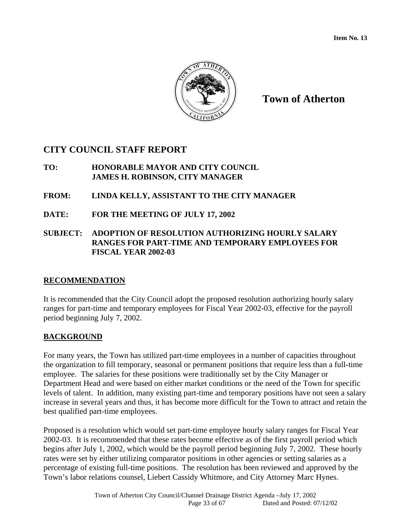

# **CITY COUNCIL STAFF REPORT**

# **TO: HONORABLE MAYOR AND CITY COUNCIL JAMES H. ROBINSON, CITY MANAGER**

# **FROM: LINDA KELLY, ASSISTANT TO THE CITY MANAGER**

**DATE: FOR THE MEETING OF JULY 17, 2002** 

# **SUBJECT: ADOPTION OF RESOLUTION AUTHORIZING HOURLY SALARY RANGES FOR PART-TIME AND TEMPORARY EMPLOYEES FOR FISCAL YEAR 2002-03**

# **RECOMMENDATION**

It is recommended that the City Council adopt the proposed resolution authorizing hourly salary ranges for part-time and temporary employees for Fiscal Year 2002-03, effective for the payroll period beginning July 7, 2002.

# **BACKGROUND**

For many years, the Town has utilized part-time employees in a number of capacities throughout the organization to fill temporary, seasonal or permanent positions that require less than a full-time employee. The salaries for these positions were traditionally set by the City Manager or Department Head and were based on either market conditions or the need of the Town for specific levels of talent. In addition, many existing part-time and temporary positions have not seen a salary increase in several years and thus, it has become more difficult for the Town to attract and retain the best qualified part-time employees.

Proposed is a resolution which would set part-time employee hourly salary ranges for Fiscal Year 2002-03. It is recommended that these rates become effective as of the first payroll period which begins after July 1, 2002, which would be the payroll period beginning July 7, 2002. These hourly rates were set by either utilizing comparator positions in other agencies or setting salaries as a percentage of existing full-time positions. The resolution has been reviewed and approved by the Town's labor relations counsel, Liebert Cassidy Whitmore, and City Attorney Marc Hynes.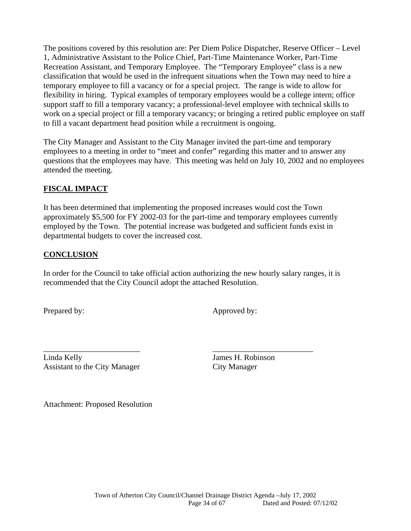The positions covered by this resolution are: Per Diem Police Dispatcher, Reserve Officer – Level 1, Administrative Assistant to the Police Chief, Part-Time Maintenance Worker, Part-Time Recreation Assistant, and Temporary Employee. The "Temporary Employee" class is a new classification that would be used in the infrequent situations when the Town may need to hire a temporary employee to fill a vacancy or for a special project. The range is wide to allow for flexibility in hiring. Typical examples of temporary employees would be a college intern; office support staff to fill a temporary vacancy; a professional-level employee with technical skills to work on a special project or fill a temporary vacancy; or bringing a retired public employee on staff to fill a vacant department head position while a recruitment is ongoing.

The City Manager and Assistant to the City Manager invited the part-time and temporary employees to a meeting in order to "meet and confer" regarding this matter and to answer any questions that the employees may have. This meeting was held on July 10, 2002 and no employees attended the meeting.

# **FISCAL IMPACT**

It has been determined that implementing the proposed increases would cost the Town approximately \$5,500 for FY 2002-03 for the part-time and temporary employees currently employed by the Town. The potential increase was budgeted and sufficient funds exist in departmental budgets to cover the increased cost.

# **CONCLUSION**

In order for the Council to take official action authorizing the new hourly salary ranges, it is recommended that the City Council adopt the attached Resolution.

\_\_\_\_\_\_\_\_\_\_\_\_\_\_\_\_\_\_\_\_\_\_\_\_ \_\_\_\_\_\_\_\_\_\_\_\_\_\_\_\_\_\_\_\_\_\_\_\_\_

Prepared by: Approved by:

Linda Kelly James H. Robinson Assistant to the City Manager City Manager

Attachment: Proposed Resolution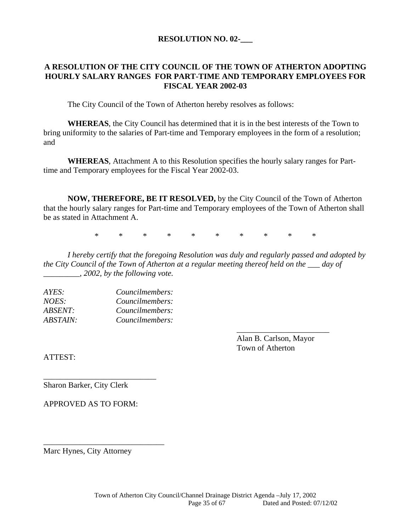#### **RESOLUTION NO. 02-\_\_\_**

### **A RESOLUTION OF THE CITY COUNCIL OF THE TOWN OF ATHERTON ADOPTING HOURLY SALARY RANGES FOR PART-TIME AND TEMPORARY EMPLOYEES FOR FISCAL YEAR 2002-03**

The City Council of the Town of Atherton hereby resolves as follows:

**WHEREAS**, the City Council has determined that it is in the best interests of the Town to bring uniformity to the salaries of Part-time and Temporary employees in the form of a resolution; and

**WHEREAS**, Attachment A to this Resolution specifies the hourly salary ranges for Parttime and Temporary employees for the Fiscal Year 2002-03.

**NOW, THEREFORE, BE IT RESOLVED,** by the City Council of the Town of Atherton that the hourly salary ranges for Part-time and Temporary employees of the Town of Atherton shall be as stated in Attachment A.

\* \* \* \* \* \* \* \* \* \*

*I hereby certify that the foregoing Resolution was duly and regularly passed and adopted by the City Council of the Town of Atherton at a regular meeting thereof held on the \_\_\_ day of \_\_\_\_\_\_\_\_\_, 2002, by the following vote.* 

 $\overline{\phantom{a}}$  , and the contract of the contract of the contract of the contract of the contract of the contract of the contract of the contract of the contract of the contract of the contract of the contract of the contrac

| AYES:           | Councilmembers: |
|-----------------|-----------------|
| NOES:           | Councilmembers: |
| <i>ABSENT:</i>  | Councilmembers: |
| <b>ABSTAIN:</b> | Councilmembers: |

 Alan B. Carlson, Mayor Town of Atherton

ATTEST:

Sharon Barker, City Clerk

APPROVED AS TO FORM:

*\_\_\_\_\_\_\_\_\_\_\_\_\_\_\_\_\_\_\_\_\_\_\_\_\_\_\_\_* 

*\_\_\_\_\_\_\_\_\_\_\_\_\_\_\_\_\_\_\_\_\_\_\_\_\_\_\_\_\_\_* 

Marc Hynes, City Attorney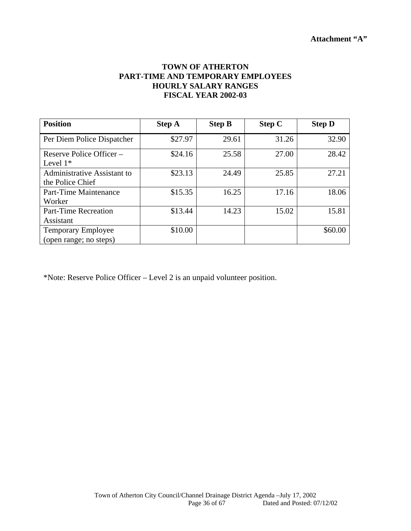# **TOWN OF ATHERTON PART-TIME AND TEMPORARY EMPLOYEES HOURLY SALARY RANGES FISCAL YEAR 2002-03**

| <b>Position</b>                                     | <b>Step A</b> | <b>Step B</b> | <b>Step C</b> | <b>Step D</b> |
|-----------------------------------------------------|---------------|---------------|---------------|---------------|
| Per Diem Police Dispatcher                          | \$27.97       | 29.61         | 31.26         | 32.90         |
| Reserve Police Officer –<br>Level $1*$              | \$24.16       | 25.58         | 27.00         | 28.42         |
| Administrative Assistant to<br>the Police Chief     | \$23.13       | 24.49         | 25.85         | 27.21         |
| <b>Part-Time Maintenance</b><br>Worker              | \$15.35       | 16.25         | 17.16         | 18.06         |
| <b>Part-Time Recreation</b><br>Assistant            | \$13.44       | 14.23         | 15.02         | 15.81         |
| <b>Temporary Employee</b><br>(open range; no steps) | \$10.00       |               |               | \$60.00       |

\*Note: Reserve Police Officer – Level 2 is an unpaid volunteer position.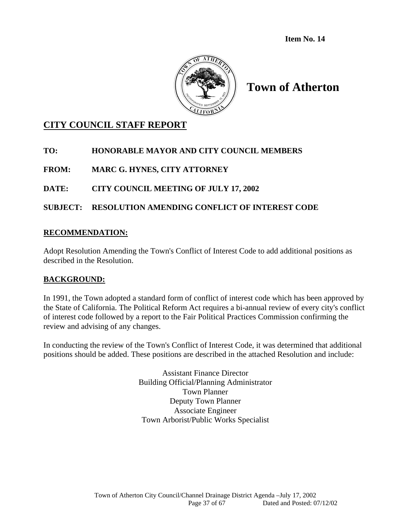**Item No. 14** 



# **Town of Atherton**

# **CITY COUNCIL STAFF REPORT**

# **TO: HONORABLE MAYOR AND CITY COUNCIL MEMBERS**

**FROM: MARC G. HYNES, CITY ATTORNEY** 

# **DATE: CITY COUNCIL MEETING OF JULY 17, 2002**

# **SUBJECT: RESOLUTION AMENDING CONFLICT OF INTEREST CODE**

### **RECOMMENDATION:**

Adopt Resolution Amending the Town's Conflict of Interest Code to add additional positions as described in the Resolution.

# **BACKGROUND:**

In 1991, the Town adopted a standard form of conflict of interest code which has been approved by the State of California. The Political Reform Act requires a bi-annual review of every city's conflict of interest code followed by a report to the Fair Political Practices Commission confirming the review and advising of any changes.

In conducting the review of the Town's Conflict of Interest Code, it was determined that additional positions should be added. These positions are described in the attached Resolution and include:

> Assistant Finance Director Building Official/Planning Administrator Town Planner Deputy Town Planner Associate Engineer Town Arborist/Public Works Specialist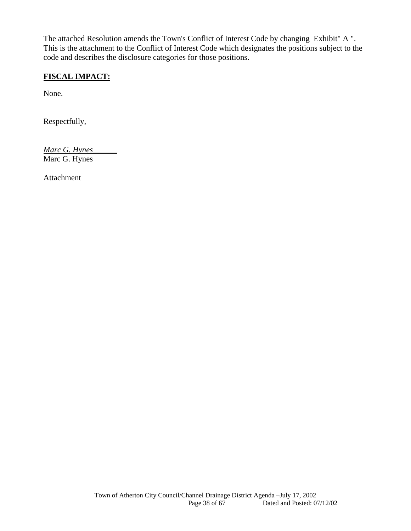The attached Resolution amends the Town's Conflict of Interest Code by changing Exhibit" A ". This is the attachment to the Conflict of Interest Code which designates the positions subject to the code and describes the disclosure categories for those positions.

# **FISCAL IMPACT:**

None.

Respectfully,

*Marc G. Hynes\_\_\_\_\_\_* Marc G. Hynes

Attachment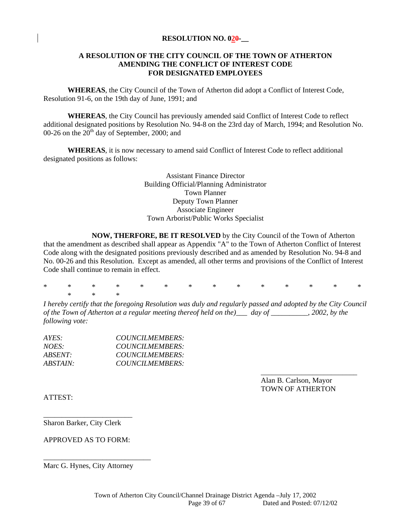#### **RESOLUTION NO. 020-\_\_**

#### **A RESOLUTION OF THE CITY COUNCIL OF THE TOWN OF ATHERTON AMENDING THE CONFLICT OF INTEREST CODE FOR DESIGNATED EMPLOYEES**

**WHEREAS**, the City Council of the Town of Atherton did adopt a Conflict of Interest Code, Resolution 91-6, on the 19th day of June, 1991; and

**WHEREAS**, the City Council has previously amended said Conflict of Interest Code to reflect additional designated positions by Resolution No. 94-8 on the 23rd day of March, 1994; and Resolution No. 00-26 on the  $20<sup>th</sup>$  day of September, 2000; and

 **WHEREAS**, it is now necessary to amend said Conflict of Interest Code to reflect additional designated positions as follows:

> Assistant Finance Director Building Official/Planning Administrator Town Planner Deputy Town Planner Associate Engineer Town Arborist/Public Works Specialist

 **NOW, THERFORE, BE IT RESOLVED** by the City Council of the Town of Atherton that the amendment as described shall appear as Appendix "A" to the Town of Atherton Conflict of Interest Code along with the designated positions previously described and as amended by Resolution No. 94-8 and No. 00-26 and this Resolution. Except as amended, all other terms and provisions of the Conflict of Interest Code shall continue to remain in effect.

\* \* \* \* \* \* \* \* \* \* \* \* \* \* \* \* \*

*I hereby certify that the foregoing Resolution was duly and regularly passed and adopted by the City Council of the Town of Atherton at a regular meeting thereof held on the)\_\_\_ day of \_\_\_\_\_\_\_\_\_\_, 2002, by the following vote:* 

 $\overline{\phantom{a}}$  , and the contract of the contract of the contract of the contract of the contract of the contract of the contract of the contract of the contract of the contract of the contract of the contract of the contrac

| AYES:    | COUNCILMEMBERS: |
|----------|-----------------|
| $NOES^+$ | COUNCILMEMBERS: |
| ABSENT:  | COUNCILMEMBERS: |
| ABSTAIN: | COUNCILMEMBERS: |

 Alan B. Carlson, Mayor TOWN OF ATHERTON

ATTEST:

Sharon Barker, City Clerk

APPROVED AS TO FORM:

\_\_\_\_\_\_\_\_\_\_\_\_\_\_\_\_\_\_\_\_\_\_\_\_

Marc G. Hynes, City Attorney

\_\_\_\_\_\_\_\_\_\_\_\_\_\_\_\_\_\_\_\_\_\_\_\_\_\_\_\_\_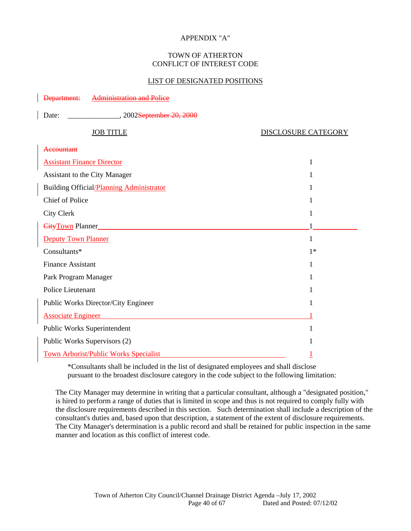#### APPENDIX "A"

#### TOWN OF ATHERTON CONFLICT OF INTEREST CODE

#### LIST OF DESIGNATED POSITIONS

Department: Administration and Police

| Date:<br>2002 <del>September 20, 2000</del>      |                            |
|--------------------------------------------------|----------------------------|
| <b>JOB TITLE</b>                                 | <b>DISCLOSURE CATEGORY</b> |
| Accountant                                       |                            |
| <b>Assistant Finance Director</b>                | 1                          |
| Assistant to the City Manager                    | 1                          |
| Building Official/ <i>Planning Administrator</i> | 1                          |
| <b>Chief of Police</b>                           | 1                          |
| <b>City Clerk</b>                                | 1                          |
| City Town Planner                                |                            |
| <b>Deputy Town Planner</b>                       | 1                          |
| Consultants*                                     | $1*$                       |
| <b>Finance Assistant</b>                         | 1                          |
| Park Program Manager                             | 1                          |
| Police Lieutenant                                | 1                          |
| Public Works Director/City Engineer              | 1                          |
| <b>Associate Engineer</b>                        |                            |
| Public Works Superintendent                      | 1                          |
| Public Works Supervisors (2)                     |                            |
| <b>Town Arborist/Public Works Specialist</b>     |                            |

\*Consultants shall be included in the list of designated employees and shall disclose pursuant to the broadest disclosure category in the code subject to the following limitation:

The City Manager may determine in writing that a particular consultant, although a "designated position," is hired to perform a range of duties that is limited in scope and thus is not required to comply fully with the disclosure requirements described in this section. Such determination shall include a description of the consultant's duties and, based upon that description, a statement of the extent of disclosure requirements. The City Manager's determination is a public record and shall be retained for public inspection in the same manner and location as this conflict of interest code.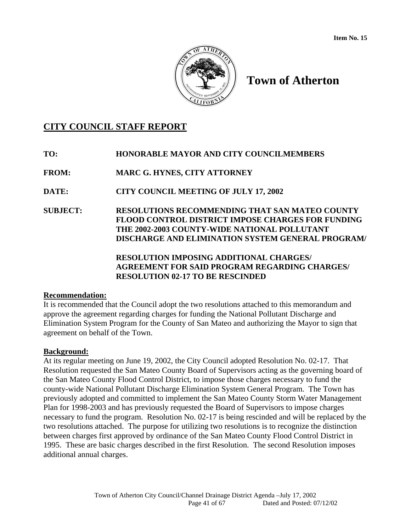

# **CITY COUNCIL STAFF REPORT**

- **TO: HONORABLE MAYOR AND CITY COUNCILMEMBERS**
- **FROM: MARC G. HYNES, CITY ATTORNEY**

**DATE: CITY COUNCIL MEETING OF JULY 17, 2002** 

**SUBJECT: RESOLUTIONS RECOMMENDING THAT SAN MATEO COUNTY FLOOD CONTROL DISTRICT IMPOSE CHARGES FOR FUNDING THE 2002-2003 COUNTY-WIDE NATIONAL POLLUTANT DISCHARGE AND ELIMINATION SYSTEM GENERAL PROGRAM/** 

> **RESOLUTION IMPOSING ADDITIONAL CHARGES/ AGREEMENT FOR SAID PROGRAM REGARDING CHARGES/ RESOLUTION 02-17 TO BE RESCINDED**

# **Recommendation:**

It is recommended that the Council adopt the two resolutions attached to this memorandum and approve the agreement regarding charges for funding the National Pollutant Discharge and Elimination System Program for the County of San Mateo and authorizing the Mayor to sign that agreement on behalf of the Town.

# **Background:**

At its regular meeting on June 19, 2002, the City Council adopted Resolution No. 02-17. That Resolution requested the San Mateo County Board of Supervisors acting as the governing board of the San Mateo County Flood Control District, to impose those charges necessary to fund the county-wide National Pollutant Discharge Elimination System General Program. The Town has previously adopted and committed to implement the San Mateo County Storm Water Management Plan for 1998-2003 and has previously requested the Board of Supervisors to impose charges necessary to fund the program. Resolution No. 02-17 is being rescinded and will be replaced by the two resolutions attached. The purpose for utilizing two resolutions is to recognize the distinction between charges first approved by ordinance of the San Mateo County Flood Control District in 1995. These are basic charges described in the first Resolution. The second Resolution imposes additional annual charges.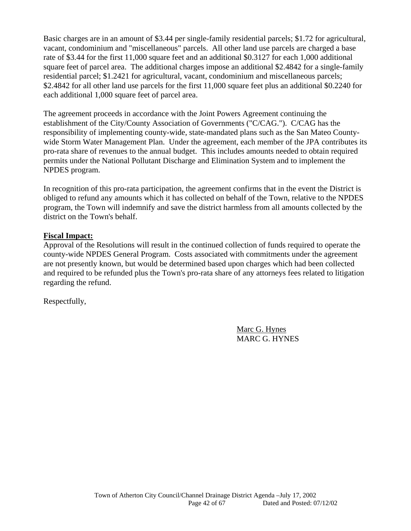Basic charges are in an amount of \$3.44 per single-family residential parcels; \$1.72 for agricultural, vacant, condominium and "miscellaneous" parcels. All other land use parcels are charged a base rate of \$3.44 for the first 11,000 square feet and an additional \$0.3127 for each 1,000 additional square feet of parcel area. The additional charges impose an additional \$2.4842 for a single-family residential parcel; \$1.2421 for agricultural, vacant, condominium and miscellaneous parcels; \$2.4842 for all other land use parcels for the first 11,000 square feet plus an additional \$0.2240 for each additional 1,000 square feet of parcel area.

The agreement proceeds in accordance with the Joint Powers Agreement continuing the establishment of the City/County Association of Governments ("C/CAG."). C/CAG has the responsibility of implementing county-wide, state-mandated plans such as the San Mateo Countywide Storm Water Management Plan. Under the agreement, each member of the JPA contributes its pro-rata share of revenues to the annual budget. This includes amounts needed to obtain required permits under the National Pollutant Discharge and Elimination System and to implement the NPDES program.

In recognition of this pro-rata participation, the agreement confirms that in the event the District is obliged to refund any amounts which it has collected on behalf of the Town, relative to the NPDES program, the Town will indemnify and save the district harmless from all amounts collected by the district on the Town's behalf.

### **Fiscal Impact:**

Approval of the Resolutions will result in the continued collection of funds required to operate the county-wide NPDES General Program. Costs associated with commitments under the agreement are not presently known, but would be determined based upon charges which had been collected and required to be refunded plus the Town's pro-rata share of any attorneys fees related to litigation regarding the refund.

Respectfully,

Marc G. Hynes MARC G. HYNES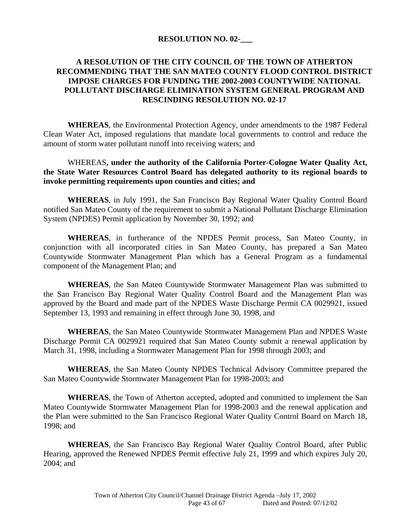### **RESOLUTION NO. 02-\_\_\_**

# **A RESOLUTION OF THE CITY COUNCIL OF THE TOWN OF ATHERTON RECOMMENDING THAT THE SAN MATEO COUNTY FLOOD CONTROL DISTRICT IMPOSE CHARGES FOR FUNDING THE 2002-2003 COUNTYWIDE NATIONAL POLLUTANT DISCHARGE ELIMINATION SYSTEM GENERAL PROGRAM AND RESCINDING RESOLUTION NO. 02-17**

**WHEREAS**, the Environmental Protection Agency, under amendments to the 1987 Federal Clean Water Act, imposed regulations that mandate local governments to control and reduce the amount of storm water pollutant runoff into receiving waters; and

## WHEREAS**, under the authority of the California Porter-Cologne Water Quality Act, the State Water Resources Control Board has delegated authority to its regional boards to invoke permitting requirements upon counties and cities; and**

**WHEREAS**, in July 1991, the San Francisco Bay Regional Water Quality Control Board notified San Mateo County of the requirement to submit a National Pollutant Discharge Elimination System (NPDES) Permit application by November 30, 1992; and

**WHEREAS**, in furtherance of the NPDES Permit process, San Mateo County, in conjunction with all incorporated cities in San Mateo County, has prepared a San Mateo Countywide Stormwater Management Plan which has a General Program as a fundamental component of the Management Plan; and

**WHEREAS**, the San Mateo Countywide Stormwater Management Plan was submitted to the San Francisco Bay Regional Water Quality Control Board and the Management Plan was approved by the Board and made part of the NPDES Waste Discharge Permit CA 0029921, issued September 13, 1993 and remaining in effect through June 30, 1998, and

**WHEREAS**, the San Mateo Countywide Stormwater Management Plan and NPDES Waste Discharge Permit CA 0029921 required that San Mateo County submit a renewal application by March 31, 1998, including a Stormwater Management Plan for 1998 through 2003; and

**WHEREAS**, the San Mateo County NPDES Technical Advisory Committee prepared the San Mateo Countywide Stormwater Management Plan for 1998-2003; and

**WHEREAS**, the Town of Atherton accepted, adopted and committed to implement the San Mateo Countywide Stormwater Management Plan for 1998-2003 and the renewal application and the Plan were submitted to the San Francisco Regional Water Quality Control Board on March 18, 1998; and

**WHEREAS**, the San Francisco Bay Regional Water Quality Control Board, after Public Hearing, approved the Renewed NPDES Permit effective July 21, 1999 and which expires July 20, 2004; and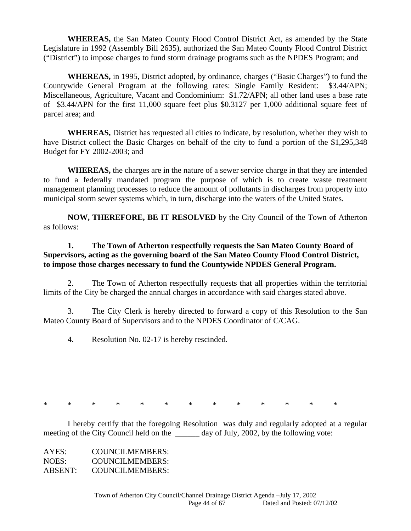**WHEREAS,** the San Mateo County Flood Control District Act, as amended by the State Legislature in 1992 (Assembly Bill 2635), authorized the San Mateo County Flood Control District ("District") to impose charges to fund storm drainage programs such as the NPDES Program; and

 **WHEREAS,** in 1995, District adopted, by ordinance, charges ("Basic Charges") to fund the Countywide General Program at the following rates: Single Family Resident: \$3.44/APN; Miscellaneous, Agriculture, Vacant and Condominium: \$1.72/APN; all other land uses a base rate of \$3.44/APN for the first 11,000 square feet plus \$0.3127 per 1,000 additional square feet of parcel area; and

 **WHEREAS,** District has requested all cities to indicate, by resolution, whether they wish to have District collect the Basic Charges on behalf of the city to fund a portion of the \$1,295,348 Budget for FY 2002-2003; and

 **WHEREAS,** the charges are in the nature of a sewer service charge in that they are intended to fund a federally mandated program the purpose of which is to create waste treatment management planning processes to reduce the amount of pollutants in discharges from property into municipal storm sewer systems which, in turn, discharge into the waters of the United States.

**NOW, THEREFORE, BE IT RESOLVED** by the City Council of the Town of Atherton as follows:

# **1. The Town of Atherton respectfully requests the San Mateo County Board of Supervisors, acting as the governing board of the San Mateo County Flood Control District, to impose those charges necessary to fund the Countywide NPDES General Program.**

 2. The Town of Atherton respectfully requests that all properties within the territorial limits of the City be charged the annual charges in accordance with said charges stated above.

 3. The City Clerk is hereby directed to forward a copy of this Resolution to the San Mateo County Board of Supervisors and to the NPDES Coordinator of C/CAG.

4. Resolution No. 02-17 is hereby rescinded.

\* \* \* \* \* \* \* \* \* \* \* \* \*

 I hereby certify that the foregoing Resolution was duly and regularly adopted at a regular meeting of the City Council held on the \_\_\_\_\_\_\_ day of July, 2002, by the following vote:

| AYES:   | <b>COUNCILMEMBERS:</b> |
|---------|------------------------|
| NOES:   | <b>COUNCILMEMBERS:</b> |
| ABSENT: | <b>COUNCILMEMBERS:</b> |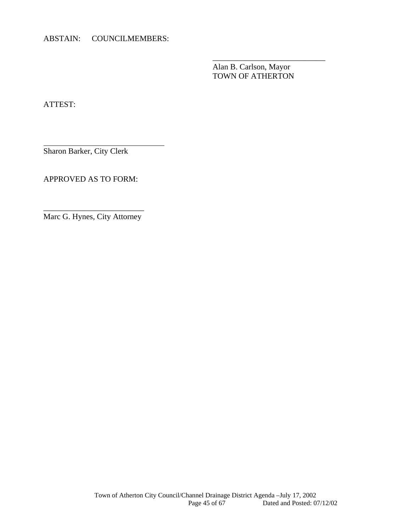ABSTAIN: COUNCILMEMBERS:

 Alan B. Carlson, Mayor TOWN OF ATHERTON

 $\overline{\phantom{a}}$  , and the contract of the contract of the contract of the contract of the contract of the contract of the contract of the contract of the contract of the contract of the contract of the contract of the contrac

ATTEST:

l

Sharon Barker, City Clerk

APPROVED AS TO FORM:

\_\_\_\_\_\_\_\_\_\_\_\_\_\_\_\_\_\_\_\_\_\_\_\_\_ Marc G. Hynes, City Attorney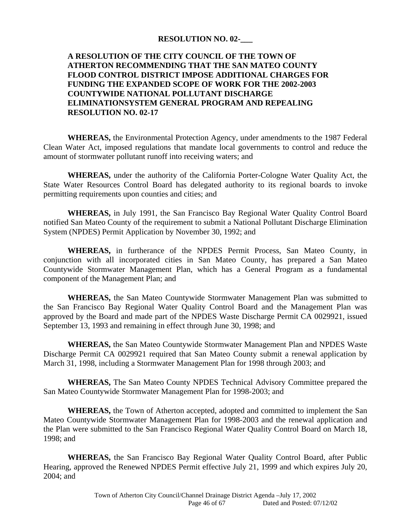#### **RESOLUTION NO. 02-\_\_\_**

# **A RESOLUTION OF THE CITY COUNCIL OF THE TOWN OF ATHERTON RECOMMENDING THAT THE SAN MATEO COUNTY FLOOD CONTROL DISTRICT IMPOSE ADDITIONAL CHARGES FOR FUNDING THE EXPANDED SCOPE OF WORK FOR THE 2002-2003 COUNTYWIDE NATIONAL POLLUTANT DISCHARGE ELIMINATIONSYSTEM GENERAL PROGRAM AND REPEALING RESOLUTION NO. 02-17**

 **WHEREAS,** the Environmental Protection Agency, under amendments to the 1987 Federal Clean Water Act, imposed regulations that mandate local governments to control and reduce the amount of stormwater pollutant runoff into receiving waters; and

 **WHEREAS,** under the authority of the California Porter-Cologne Water Quality Act, the State Water Resources Control Board has delegated authority to its regional boards to invoke permitting requirements upon counties and cities; and

 **WHEREAS,** in July 1991, the San Francisco Bay Regional Water Quality Control Board notified San Mateo County of the requirement to submit a National Pollutant Discharge Elimination System (NPDES) Permit Application by November 30, 1992; and

 **WHEREAS,** in furtherance of the NPDES Permit Process, San Mateo County, in conjunction with all incorporated cities in San Mateo County, has prepared a San Mateo Countywide Stormwater Management Plan, which has a General Program as a fundamental component of the Management Plan; and

 **WHEREAS,** the San Mateo Countywide Stormwater Management Plan was submitted to the San Francisco Bay Regional Water Quality Control Board and the Management Plan was approved by the Board and made part of the NPDES Waste Discharge Permit CA 0029921, issued September 13, 1993 and remaining in effect through June 30, 1998; and

 **WHEREAS,** the San Mateo Countywide Stormwater Management Plan and NPDES Waste Discharge Permit CA 0029921 required that San Mateo County submit a renewal application by March 31, 1998, including a Stormwater Management Plan for 1998 through 2003; and

 **WHEREAS,** The San Mateo County NPDES Technical Advisory Committee prepared the San Mateo Countywide Stormwater Management Plan for 1998-2003; and

 **WHEREAS,** the Town of Atherton accepted, adopted and committed to implement the San Mateo Countywide Stormwater Management Plan for 1998-2003 and the renewal application and the Plan were submitted to the San Francisco Regional Water Quality Control Board on March 18, 1998; and

 **WHEREAS,** the San Francisco Bay Regional Water Quality Control Board, after Public Hearing, approved the Renewed NPDES Permit effective July 21, 1999 and which expires July 20, 2004; and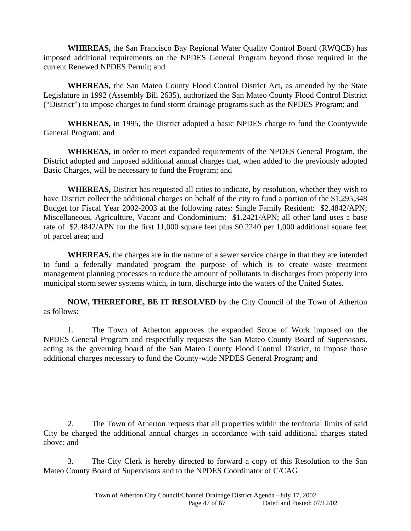**WHEREAS,** the San Francisco Bay Regional Water Quality Control Board (RWQCB) has imposed additional requirements on the NPDES General Program beyond those required in the current Renewed NPDES Permit; and

 **WHEREAS,** the San Mateo County Flood Control District Act, as amended by the State Legislature in 1992 (Assembly Bill 2635), authorized the San Mateo County Flood Control District ("District") to impose charges to fund storm drainage programs such as the NPDES Program; and

 **WHEREAS,** in 1995, the District adopted a basic NPDES charge to fund the Countywide General Program; and

 **WHEREAS,** in order to meet expanded requirements of the NPDES General Program, the District adopted and imposed additional annual charges that, when added to the previously adopted Basic Charges, will be necessary to fund the Program; and

 **WHEREAS,** District has requested all cities to indicate, by resolution, whether they wish to have District collect the additional charges on behalf of the city to fund a portion of the \$1,295,348 Budget for Fiscal Year 2002-2003 at the following rates: Single Family Resident: \$2.4842/APN; Miscellaneous, Agriculture, Vacant and Condominium: \$1.2421/APN; all other land uses a base rate of \$2.4842/APN for the first 11,000 square feet plus \$0.2240 per 1,000 additional square feet of parcel area; and

 **WHEREAS,** the charges are in the nature of a sewer service charge in that they are intended to fund a federally mandated program the purpose of which is to create waste treatment management planning processes to reduce the amount of pollutants in discharges from property into municipal storm sewer systems which, in turn, discharge into the waters of the United States.

 **NOW, THEREFORE, BE IT RESOLVED** by the City Council of the Town of Atherton as follows:

 1. The Town of Atherton approves the expanded Scope of Work imposed on the NPDES General Program and respectfully requests the San Mateo County Board of Supervisors, acting as the governing board of the San Mateo County Flood Control District, to impose those additional charges necessary to fund the County-wide NPDES General Program; and

 2. The Town of Atherton requests that all properties within the territorial limits of said City be charged the additional annual charges in accordance with said additional charges stated above; and

 3. The City Clerk is hereby directed to forward a copy of this Resolution to the San Mateo County Board of Supervisors and to the NPDES Coordinator of C/CAG.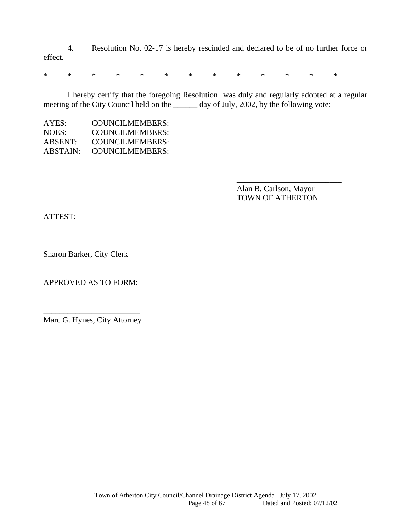4. Resolution No. 02-17 is hereby rescinded and declared to be of no further force or effect.

\* \* \* \* \* \* \* \* \* \* \* \* \*

 $\overline{\phantom{a}}$  , and the contract of the contract of the contract of the contract of the contract of the contract of the contract of the contract of the contract of the contract of the contract of the contract of the contrac

 I hereby certify that the foregoing Resolution was duly and regularly adopted at a regular meeting of the City Council held on the \_\_\_\_\_\_ day of July, 2002, by the following vote:

| AYES:    | COUNCILMEMBERS: |
|----------|-----------------|
| NOES:    | COUNCILMEMBERS: |
| ABSENT:  | COUNCILMEMBERS: |
| ABSTAIN: | COUNCILMEMBERS: |

 Alan B. Carlson, Mayor TOWN OF ATHERTON

ATTEST:

l

Sharon Barker, City Clerk

APPROVED AS TO FORM:

\_\_\_\_\_\_\_\_\_\_\_\_\_\_\_\_\_\_\_\_\_\_\_\_ Marc G. Hynes, City Attorney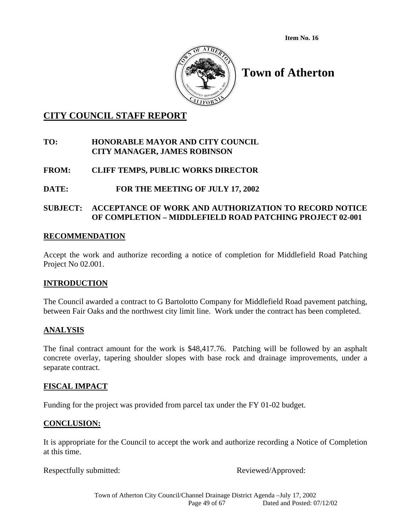**Item No. 16** 



# **Town of Atherton**

# **CITY COUNCIL STAFF REPORT**

# **TO: HONORABLE MAYOR AND CITY COUNCIL CITY MANAGER, JAMES ROBINSON**

# **FROM: CLIFF TEMPS, PUBLIC WORKS DIRECTOR**

# **DATE: FOR THE MEETING OF JULY 17, 2002**

# **SUBJECT: ACCEPTANCE OF WORK AND AUTHORIZATION TO RECORD NOTICE OF COMPLETION – MIDDLEFIELD ROAD PATCHING PROJECT 02-001**

### **RECOMMENDATION**

Accept the work and authorize recording a notice of completion for Middlefield Road Patching Project No 02.001.

# **INTRODUCTION**

The Council awarded a contract to G Bartolotto Company for Middlefield Road pavement patching, between Fair Oaks and the northwest city limit line. Work under the contract has been completed.

#### **ANALYSIS**

The final contract amount for the work is \$48,417.76. Patching will be followed by an asphalt concrete overlay, tapering shoulder slopes with base rock and drainage improvements, under a separate contract.

#### **FISCAL IMPACT**

Funding for the project was provided from parcel tax under the FY 01-02 budget.

# **CONCLUSION:**

It is appropriate for the Council to accept the work and authorize recording a Notice of Completion at this time.

Respectfully submitted: The Contract Reviewed/Approved: Reviewed/Approved: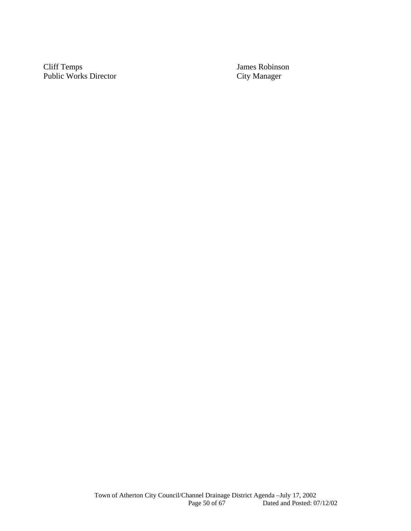Cliff Temps<br>
Public Works Director<br>
City Manager<br>
City Manager Public Works Director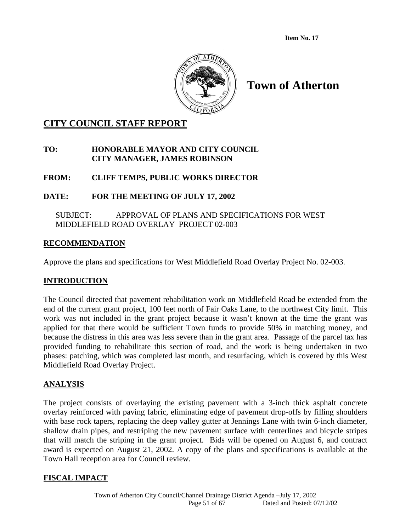**Item No. 17** 



# **Town of Atherton**

# **CITY COUNCIL STAFF REPORT**

# **TO: HONORABLE MAYOR AND CITY COUNCIL CITY MANAGER, JAMES ROBINSON**

# **FROM: CLIFF TEMPS, PUBLIC WORKS DIRECTOR**

# **DATE: FOR THE MEETING OF JULY 17, 2002**

# SUBJECT: APPROVAL OF PLANS AND SPECIFICATIONS FOR WEST MIDDLEFIELD ROAD OVERLAY PROJECT 02-003

# **RECOMMENDATION**

Approve the plans and specifications for West Middlefield Road Overlay Project No. 02-003.

# **INTRODUCTION**

The Council directed that pavement rehabilitation work on Middlefield Road be extended from the end of the current grant project, 100 feet north of Fair Oaks Lane, to the northwest City limit. This work was not included in the grant project because it wasn't known at the time the grant was applied for that there would be sufficient Town funds to provide 50% in matching money, and because the distress in this area was less severe than in the grant area. Passage of the parcel tax has provided funding to rehabilitate this section of road, and the work is being undertaken in two phases: patching, which was completed last month, and resurfacing, which is covered by this West Middlefield Road Overlay Project.

# **ANALYSIS**

The project consists of overlaying the existing pavement with a 3-inch thick asphalt concrete overlay reinforced with paving fabric, eliminating edge of pavement drop-offs by filling shoulders with base rock tapers, replacing the deep valley gutter at Jennings Lane with twin 6-inch diameter, shallow drain pipes, and restriping the new pavement surface with centerlines and bicycle stripes that will match the striping in the grant project. Bids will be opened on August 6, and contract award is expected on August 21, 2002. A copy of the plans and specifications is available at the Town Hall reception area for Council review.

# **FISCAL IMPACT**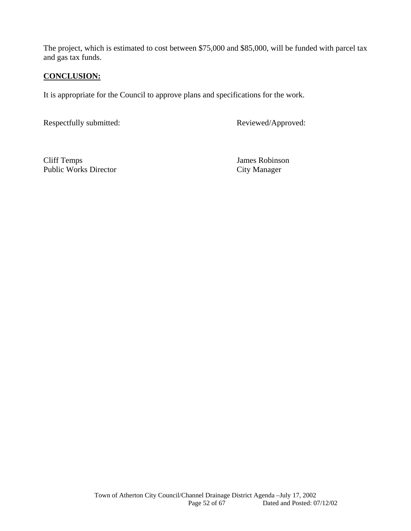The project, which is estimated to cost between \$75,000 and \$85,000, will be funded with parcel tax and gas tax funds.

# **CONCLUSION:**

It is appropriate for the Council to approve plans and specifications for the work.

Respectfully submitted: Reviewed/Approved:

Cliff Temps James Robinson Public Works Director City Manager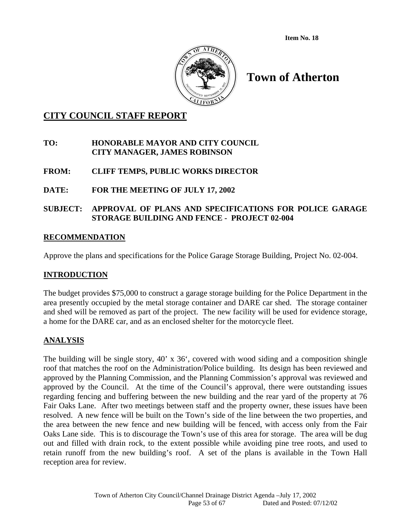

# **CITY COUNCIL STAFF REPORT**

### **TO: HONORABLE MAYOR AND CITY COUNCIL CITY MANAGER, JAMES ROBINSON**

# **FROM: CLIFF TEMPS, PUBLIC WORKS DIRECTOR**

# **DATE: FOR THE MEETING OF JULY 17, 2002**

# **SUBJECT: APPROVAL OF PLANS AND SPECIFICATIONS FOR POLICE GARAGE STORAGE BUILDING AND FENCE - PROJECT 02-004**

### **RECOMMENDATION**

Approve the plans and specifications for the Police Garage Storage Building, Project No. 02-004.

#### **INTRODUCTION**

The budget provides \$75,000 to construct a garage storage building for the Police Department in the area presently occupied by the metal storage container and DARE car shed. The storage container and shed will be removed as part of the project. The new facility will be used for evidence storage, a home for the DARE car, and as an enclosed shelter for the motorcycle fleet.

# **ANALYSIS**

The building will be single story, 40' x 36', covered with wood siding and a composition shingle roof that matches the roof on the Administration/Police building. Its design has been reviewed and approved by the Planning Commission, and the Planning Commission's approval was reviewed and approved by the Council. At the time of the Council's approval, there were outstanding issues regarding fencing and buffering between the new building and the rear yard of the property at 76 Fair Oaks Lane. After two meetings between staff and the property owner, these issues have been resolved. A new fence will be built on the Town's side of the line between the two properties, and the area between the new fence and new building will be fenced, with access only from the Fair Oaks Lane side. This is to discourage the Town's use of this area for storage. The area will be dug out and filled with drain rock, to the extent possible while avoiding pine tree roots, and used to retain runoff from the new building's roof. A set of the plans is available in the Town Hall reception area for review.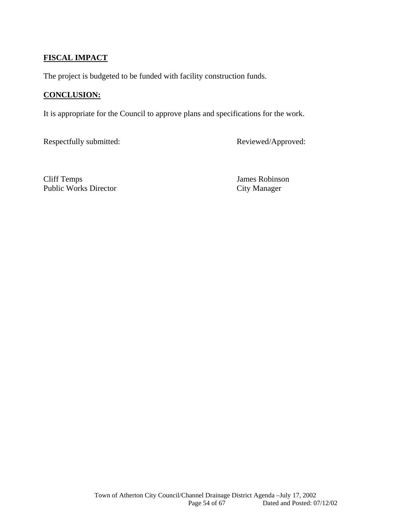# **FISCAL IMPACT**

The project is budgeted to be funded with facility construction funds.

# **CONCLUSION:**

It is appropriate for the Council to approve plans and specifications for the work.

Respectfully submitted: Reviewed/Approved:

Cliff Temps James Robinson Public Works Director City Manager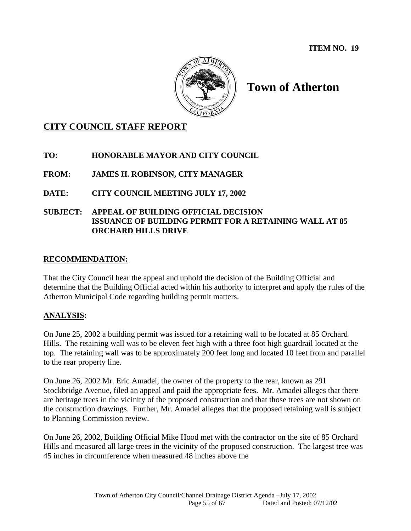

# **CITY COUNCIL STAFF REPORT**

# **TO: HONORABLE MAYOR AND CITY COUNCIL**

# **FROM: JAMES H. ROBINSON, CITY MANAGER**

# **DATE: CITY COUNCIL MEETING JULY 17, 2002**

# **SUBJECT: APPEAL OF BUILDING OFFICIAL DECISION ISSUANCE OF BUILDING PERMIT FOR A RETAINING WALL AT 85 ORCHARD HILLS DRIVE**

# **RECOMMENDATION:**

That the City Council hear the appeal and uphold the decision of the Building Official and determine that the Building Official acted within his authority to interpret and apply the rules of the Atherton Municipal Code regarding building permit matters.

# **ANALYSIS:**

On June 25, 2002 a building permit was issued for a retaining wall to be located at 85 Orchard Hills. The retaining wall was to be eleven feet high with a three foot high guardrail located at the top. The retaining wall was to be approximately 200 feet long and located 10 feet from and parallel to the rear property line.

On June 26, 2002 Mr. Eric Amadei, the owner of the property to the rear, known as 291 Stockbridge Avenue, filed an appeal and paid the appropriate fees. Mr. Amadei alleges that there are heritage trees in the vicinity of the proposed construction and that those trees are not shown on the construction drawings. Further, Mr. Amadei alleges that the proposed retaining wall is subject to Planning Commission review.

On June 26, 2002, Building Official Mike Hood met with the contractor on the site of 85 Orchard Hills and measured all large trees in the vicinity of the proposed construction. The largest tree was 45 inches in circumference when measured 48 inches above the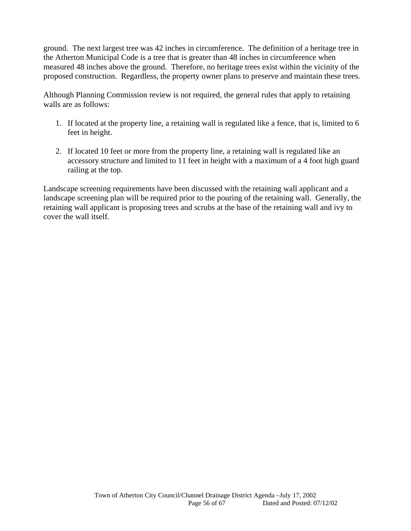ground. The next largest tree was 42 inches in circumference. The definition of a heritage tree in the Atherton Municipal Code is a tree that is greater than 48 inches in circumference when measured 48 inches above the ground. Therefore, no heritage trees exist within the vicinity of the proposed construction. Regardless, the property owner plans to preserve and maintain these trees.

Although Planning Commission review is not required, the general rules that apply to retaining walls are as follows:

- 1. If located at the property line, a retaining wall is regulated like a fence, that is, limited to 6 feet in height.
- 2. If located 10 feet or more from the property line, a retaining wall is regulated like an accessory structure and limited to 11 feet in height with a maximum of a 4 foot high guard railing at the top.

Landscape screening requirements have been discussed with the retaining wall applicant and a landscape screening plan will be required prior to the pouring of the retaining wall. Generally, the retaining wall applicant is proposing trees and scrubs at the base of the retaining wall and ivy to cover the wall itself.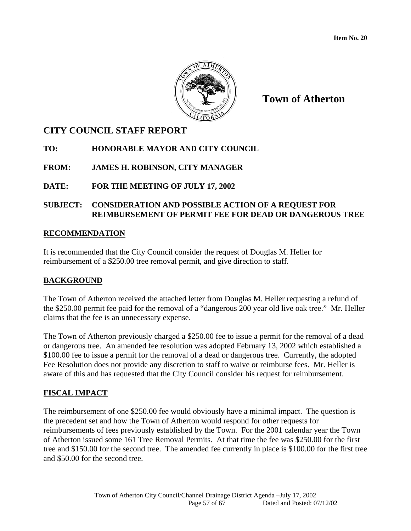

# **CITY COUNCIL STAFF REPORT**

# **TO: HONORABLE MAYOR AND CITY COUNCIL**

# **FROM: JAMES H. ROBINSON, CITY MANAGER**

# **DATE: FOR THE MEETING OF JULY 17, 2002**

# **SUBJECT: CONSIDERATION AND POSSIBLE ACTION OF A REQUEST FOR REIMBURSEMENT OF PERMIT FEE FOR DEAD OR DANGEROUS TREE**

### **RECOMMENDATION**

It is recommended that the City Council consider the request of Douglas M. Heller for reimbursement of a \$250.00 tree removal permit, and give direction to staff.

# **BACKGROUND**

The Town of Atherton received the attached letter from Douglas M. Heller requesting a refund of the \$250.00 permit fee paid for the removal of a "dangerous 200 year old live oak tree." Mr. Heller claims that the fee is an unnecessary expense.

The Town of Atherton previously charged a \$250.00 fee to issue a permit for the removal of a dead or dangerous tree. An amended fee resolution was adopted February 13, 2002 which established a \$100.00 fee to issue a permit for the removal of a dead or dangerous tree. Currently, the adopted Fee Resolution does not provide any discretion to staff to waive or reimburse fees. Mr. Heller is aware of this and has requested that the City Council consider his request for reimbursement.

# **FISCAL IMPACT**

The reimbursement of one \$250.00 fee would obviously have a minimal impact. The question is the precedent set and how the Town of Atherton would respond for other requests for reimbursements of fees previously established by the Town. For the 2001 calendar year the Town of Atherton issued some 161 Tree Removal Permits. At that time the fee was \$250.00 for the first tree and \$150.00 for the second tree. The amended fee currently in place is \$100.00 for the first tree and \$50.00 for the second tree.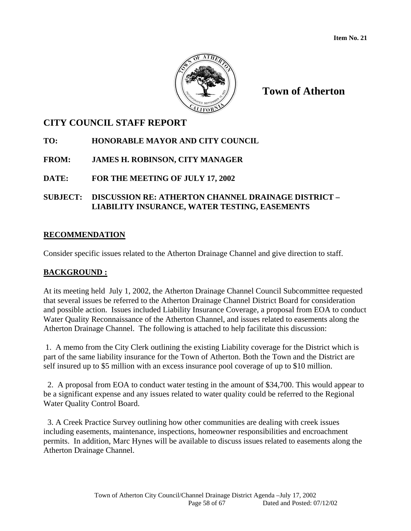

# **CITY COUNCIL STAFF REPORT**

# **TO: HONORABLE MAYOR AND CITY COUNCIL**

# **FROM: JAMES H. ROBINSON, CITY MANAGER**

# **DATE: FOR THE MEETING OF JULY 17, 2002**

# **SUBJECT: DISCUSSION RE: ATHERTON CHANNEL DRAINAGE DISTRICT – LIABILITY INSURANCE, WATER TESTING, EASEMENTS**

# **RECOMMENDATION**

Consider specific issues related to the Atherton Drainage Channel and give direction to staff.

# **BACKGROUND :**

At its meeting held July 1, 2002, the Atherton Drainage Channel Council Subcommittee requested that several issues be referred to the Atherton Drainage Channel District Board for consideration and possible action. Issues included Liability Insurance Coverage, a proposal from EOA to conduct Water Quality Reconnaissance of the Atherton Channel, and issues related to easements along the Atherton Drainage Channel. The following is attached to help facilitate this discussion:

 1. A memo from the City Clerk outlining the existing Liability coverage for the District which is part of the same liability insurance for the Town of Atherton. Both the Town and the District are self insured up to \$5 million with an excess insurance pool coverage of up to \$10 million.

 2. A proposal from EOA to conduct water testing in the amount of \$34,700. This would appear to be a significant expense and any issues related to water quality could be referred to the Regional Water Quality Control Board.

 3. A Creek Practice Survey outlining how other communities are dealing with creek issues including easements, maintenance, inspections, homeowner responsibilities and encroachment permits. In addition, Marc Hynes will be available to discuss issues related to easements along the Atherton Drainage Channel.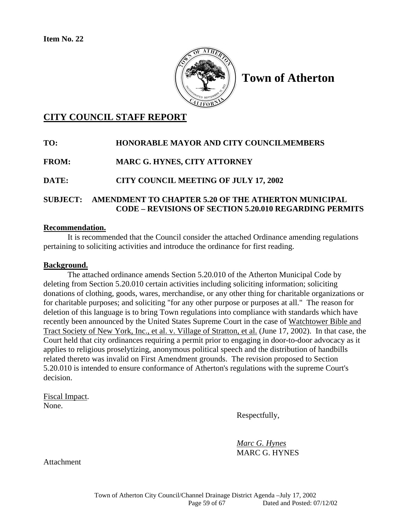

# **CITY COUNCIL STAFF REPORT**

# **TO: HONORABLE MAYOR AND CITY COUNCILMEMBERS FROM: MARC G. HYNES, CITY ATTORNEY DATE: CITY COUNCIL MEETING OF JULY 17, 2002 SUBJECT: AMENDMENT TO CHAPTER 5.20 OF THE ATHERTON MUNICIPAL**

# **Recommendation.**

 It is recommended that the Council consider the attached Ordinance amending regulations pertaining to soliciting activities and introduce the ordinance for first reading.

 **CODE – REVISIONS OF SECTION 5.20.010 REGARDING PERMITS** 

#### **Background.**

 The attached ordinance amends Section 5.20.010 of the Atherton Municipal Code by deleting from Section 5.20.010 certain activities including soliciting information; soliciting donations of clothing, goods, wares, merchandise, or any other thing for charitable organizations or for charitable purposes; and soliciting "for any other purpose or purposes at all." The reason for deletion of this language is to bring Town regulations into compliance with standards which have recently been announced by the United States Supreme Court in the case of Watchtower Bible and Tract Society of New York, Inc., et al. v. Village of Stratton, et al. (June 17, 2002). In that case, the Court held that city ordinances requiring a permit prior to engaging in door-to-door advocacy as it applies to religious proselytizing, anonymous political speech and the distribution of handbills related thereto was invalid on First Amendment grounds. The revision proposed to Section 5.20.010 is intended to ensure conformance of Atherton's regulations with the supreme Court's decision.

Fiscal Impact. None.

Respectfully,

 *Marc G. Hynes* MARC G. HYNES

Attachment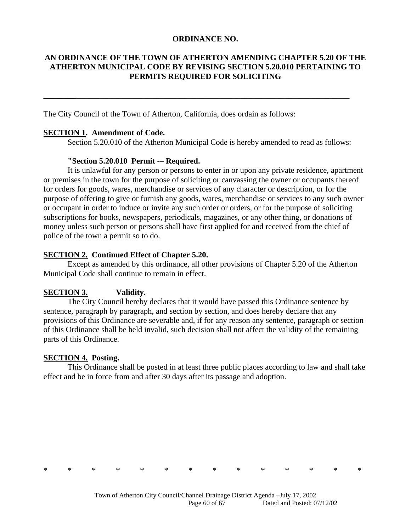#### **ORDINANCE NO.**

### **AN ORDINANCE OF THE TOWN OF ATHERTON AMENDING CHAPTER 5.20 OF THE ATHERTON MUNICIPAL CODE BY REVISING SECTION 5.20.010 PERTAINING TO PERMITS REQUIRED FOR SOLICITING**

**\_\_\_\_\_\_\_\_**\_\_\_\_\_\_\_\_\_\_\_\_\_\_\_\_\_\_\_\_\_\_\_\_\_\_\_\_\_\_\_\_\_\_\_\_\_\_\_\_\_\_\_\_\_\_\_\_\_\_\_\_\_\_\_\_\_\_\_\_\_\_\_\_\_\_\_\_

The City Council of the Town of Atherton, California, does ordain as follows:

#### **SECTION 1. Amendment of Code.**

Section 5.20.010 of the Atherton Municipal Code is hereby amended to read as follows:

#### **"Section 5.20.010 Permit -– Required.**

It is unlawful for any person or persons to enter in or upon any private residence, apartment or premises in the town for the purpose of soliciting or canvassing the owner or occupants thereof for orders for goods, wares, merchandise or services of any character or description, or for the purpose of offering to give or furnish any goods, wares, merchandise or services to any such owner or occupant in order to induce or invite any such order or orders, or for the purpose of soliciting subscriptions for books, newspapers, periodicals, magazines, or any other thing, or donations of money unless such person or persons shall have first applied for and received from the chief of police of the town a permit so to do.

#### **SECTION 2. Continued Effect of Chapter 5.20.**

Except as amended by this ordinance, all other provisions of Chapter 5.20 of the Atherton Municipal Code shall continue to remain in effect.

# **SECTION 3. Validity.**

The City Council hereby declares that it would have passed this Ordinance sentence by sentence, paragraph by paragraph, and section by section, and does hereby declare that any provisions of this Ordinance are severable and, if for any reason any sentence, paragraph or section of this Ordinance shall be held invalid, such decision shall not affect the validity of the remaining parts of this Ordinance.

#### **SECTION 4. Posting.**

This Ordinance shall be posted in at least three public places according to law and shall take effect and be in force from and after 30 days after its passage and adoption.



\* \* \* \* \* \* \* \* \* \* \* \* \* \*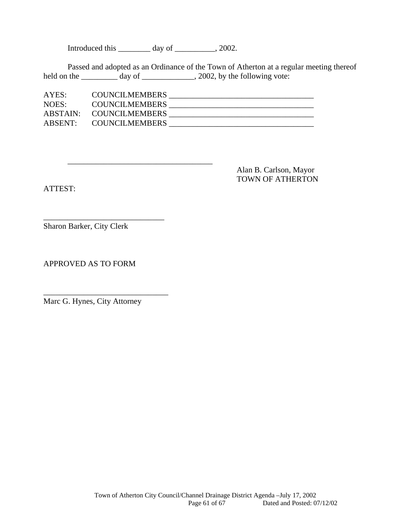Introduced this \_\_\_\_\_\_\_\_ day of \_\_\_\_\_\_\_\_, 2002.

\_\_\_\_\_\_\_\_\_\_\_\_\_\_\_\_\_\_\_\_\_\_\_\_\_\_\_\_\_\_\_\_\_\_\_\_

 Passed and adopted as an Ordinance of the Town of Atherton at a regular meeting thereof held on the \_\_\_\_\_\_\_\_\_\_ day of \_\_\_\_\_\_\_\_\_\_\_\_, 2002, by the following vote:

| AYES:   | <b>COUNCILMEMBERS</b>   |  |
|---------|-------------------------|--|
| NOES:   | <b>COUNCILMEMBERS</b>   |  |
|         | ABSTAIN: COUNCILMEMBERS |  |
| ABSENT: | <b>COUNCILMEMBERS</b>   |  |

ATTEST:

 Alan B. Carlson, Mayor TOWN OF ATHERTON

Sharon Barker, City Clerk

\_\_\_\_\_\_\_\_\_\_\_\_\_\_\_\_\_\_\_\_\_\_\_\_\_\_\_\_\_\_

APPROVED AS TO FORM

Marc G. Hynes, City Attorney

\_\_\_\_\_\_\_\_\_\_\_\_\_\_\_\_\_\_\_\_\_\_\_\_\_\_\_\_\_\_\_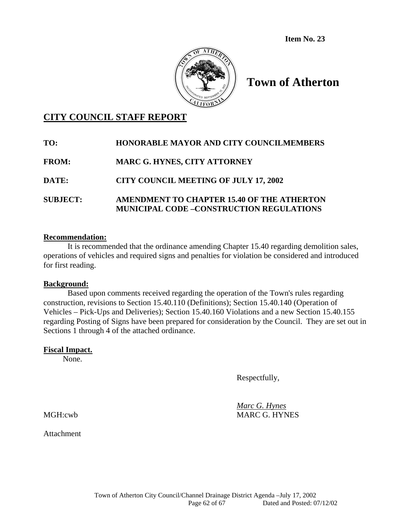**Item No. 23** 



# **Town of Atherton**

# **CITY COUNCIL STAFF REPORT**

| TO:             | <b>HONORABLE MAYOR AND CITY COUNCILMEMBERS</b>                                                |
|-----------------|-----------------------------------------------------------------------------------------------|
| <b>FROM:</b>    | <b>MARC G. HYNES, CITY ATTORNEY</b>                                                           |
| DATE:           | <b>CITY COUNCIL MEETING OF JULY 17, 2002</b>                                                  |
| <b>SUBJECT:</b> | AMENDMENT TO CHAPTER 15.40 OF THE ATHERTON<br><b>MUNICIPAL CODE -CONSTRUCTION REGULATIONS</b> |

#### **Recommendation:**

It is recommended that the ordinance amending Chapter 15.40 regarding demolition sales, operations of vehicles and required signs and penalties for violation be considered and introduced for first reading.

#### **Background:**

 Based upon comments received regarding the operation of the Town's rules regarding construction, revisions to Section 15.40.110 (Definitions); Section 15.40.140 (Operation of Vehicles – Pick-Ups and Deliveries); Section 15.40.160 Violations and a new Section 15.40.155 regarding Posting of Signs have been prepared for consideration by the Council. They are set out in Sections 1 through 4 of the attached ordinance.

#### **Fiscal Impact.**

None.

Respectfully,

 *Marc G. Hynes* MGH:cwb MARC G. HYNES

**Attachment**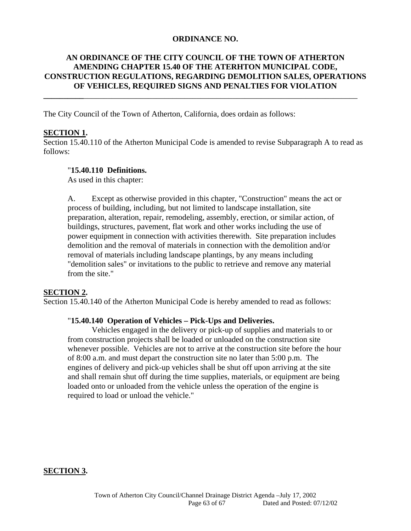#### **ORDINANCE NO.**

# **AN ORDINANCE OF THE CITY COUNCIL OF THE TOWN OF ATHERTON AMENDING CHAPTER 15.40 OF THE ATERHTON MUNICIPAL CODE, CONSTRUCTION REGULATIONS, REGARDING DEMOLITION SALES, OPERATIONS OF VEHICLES, REQUIRED SIGNS AND PENALTIES FOR VIOLATION**

**\_\_\_\_\_\_\_\_\_\_**\_\_\_\_\_\_\_\_\_\_\_\_\_\_\_\_\_\_\_\_\_\_\_\_\_\_\_\_\_\_\_\_\_\_\_\_\_\_\_\_\_\_\_\_\_\_\_\_\_\_\_\_\_\_\_\_\_\_\_\_\_\_\_\_\_\_\_\_

The City Council of the Town of Atherton, California, does ordain as follows:

#### **SECTION 1.**

Section 15.40.110 of the Atherton Municipal Code is amended to revise Subparagraph A to read as follows:

#### "**15.40.110 Definitions.**

As used in this chapter:

A. Except as otherwise provided in this chapter, "Construction" means the act or process of building, including, but not limited to landscape installation, site preparation, alteration, repair, remodeling, assembly, erection, or similar action, of buildings, structures, pavement, flat work and other works including the use of power equipment in connection with activities therewith. Site preparation includes demolition and the removal of materials in connection with the demolition and/or removal of materials including landscape plantings, by any means including "demolition sales" or invitations to the public to retrieve and remove any material from the site."

#### **SECTION 2.**

Section 15.40.140 of the Atherton Municipal Code is hereby amended to read as follows:

#### "**15.40.140 Operation of Vehicles – Pick-Ups and Deliveries.**

Vehicles engaged in the delivery or pick-up of supplies and materials to or from construction projects shall be loaded or unloaded on the construction site whenever possible. Vehicles are not to arrive at the construction site before the hour of 8:00 a.m. and must depart the construction site no later than 5:00 p.m. The engines of delivery and pick-up vehicles shall be shut off upon arriving at the site and shall remain shut off during the time supplies, materials, or equipment are being loaded onto or unloaded from the vehicle unless the operation of the engine is required to load or unload the vehicle."

#### **SECTION 3.**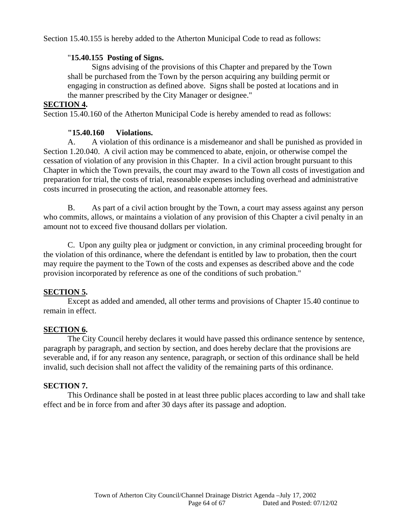Section 15.40.155 is hereby added to the Atherton Municipal Code to read as follows:

### "**15.40.155 Posting of Signs.**

 Signs advising of the provisions of this Chapter and prepared by the Town shall be purchased from the Town by the person acquiring any building permit or engaging in construction as defined above. Signs shall be posted at locations and in the manner prescribed by the City Manager or designee."

#### **SECTION 4.**

Section 15.40.160 of the Atherton Municipal Code is hereby amended to read as follows:

### **"15.40.160 Violations.**

 A. A violation of this ordinance is a misdemeanor and shall be punished as provided in Section 1.20.040. A civil action may be commenced to abate, enjoin, or otherwise compel the cessation of violation of any provision in this Chapter. In a civil action brought pursuant to this Chapter in which the Town prevails, the court may award to the Town all costs of investigation and preparation for trial, the costs of trial, reasonable expenses including overhead and administrative costs incurred in prosecuting the action, and reasonable attorney fees.

 B. As part of a civil action brought by the Town, a court may assess against any person who commits, allows, or maintains a violation of any provision of this Chapter a civil penalty in an amount not to exceed five thousand dollars per violation.

 C. Upon any guilty plea or judgment or conviction, in any criminal proceeding brought for the violation of this ordinance, where the defendant is entitled by law to probation, then the court may require the payment to the Town of the costs and expenses as described above and the code provision incorporated by reference as one of the conditions of such probation."

#### **SECTION 5.**

 Except as added and amended, all other terms and provisions of Chapter 15.40 continue to remain in effect.

# **SECTION 6.**

 The City Council hereby declares it would have passed this ordinance sentence by sentence, paragraph by paragraph, and section by section, and does hereby declare that the provisions are severable and, if for any reason any sentence, paragraph, or section of this ordinance shall be held invalid, such decision shall not affect the validity of the remaining parts of this ordinance.

#### **SECTION 7.**

 This Ordinance shall be posted in at least three public places according to law and shall take effect and be in force from and after 30 days after its passage and adoption.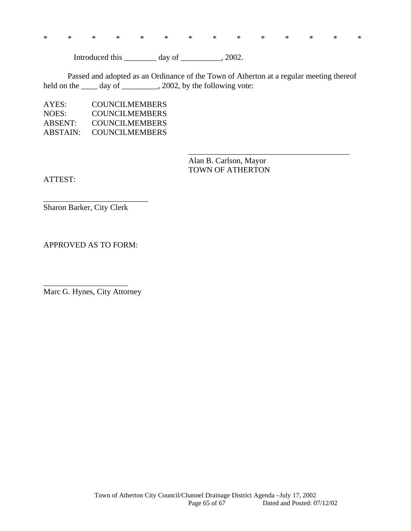\* \* \* \* \* \* \* \* \* \* \* \* \* \*

Introduced this \_\_\_\_\_\_\_\_ day of \_\_\_\_\_\_\_\_, 2002.

 Passed and adopted as an Ordinance of the Town of Atherton at a regular meeting thereof held on the \_\_\_\_ day of \_\_\_\_\_\_\_\_, 2002, by the following vote:

 $\overline{\phantom{a}}$  , and the contract of the contract of the contract of the contract of the contract of the contract of the contract of the contract of the contract of the contract of the contract of the contract of the contrac

| AYES:    | COUNCILMEMBERS        |
|----------|-----------------------|
| NOES:    | <b>COUNCILMEMBERS</b> |
| ABSENT:  | COUNCILMEMBERS        |
| ABSTAIN: | <b>COUNCILMEMBERS</b> |

 Alan B. Carlson, Mayor TOWN OF ATHERTON

ATTEST:

Sharon Barker, City Clerk

\_\_\_\_\_\_\_\_\_\_\_\_\_\_\_\_\_\_\_\_\_\_\_\_\_\_

APPROVED AS TO FORM:

Marc G. Hynes, City Attorney

\_\_\_\_\_\_\_\_\_\_\_\_\_\_\_\_\_\_\_\_\_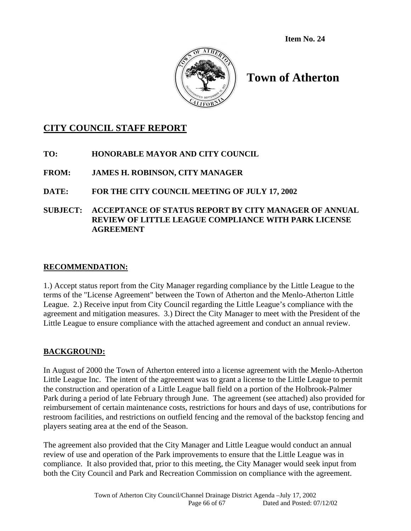**Item No. 24** 



# **Town of Atherton**

# **CITY COUNCIL STAFF REPORT**

- **TO: HONORABLE MAYOR AND CITY COUNCIL**
- **FROM: JAMES H. ROBINSON, CITY MANAGER**

# **DATE: FOR THE CITY COUNCIL MEETING OF JULY 17, 2002**

**SUBJECT: ACCEPTANCE OF STATUS REPORT BY CITY MANAGER OF ANNUAL REVIEW OF LITTLE LEAGUE COMPLIANCE WITH PARK LICENSE AGREEMENT** 

# **RECOMMENDATION:**

1.) Accept status report from the City Manager regarding compliance by the Little League to the terms of the "License Agreement" between the Town of Atherton and the Menlo-Atherton Little League. 2.) Receive input from City Council regarding the Little League's compliance with the agreement and mitigation measures. 3.) Direct the City Manager to meet with the President of the Little League to ensure compliance with the attached agreement and conduct an annual review.

# **BACKGROUND:**

In August of 2000 the Town of Atherton entered into a license agreement with the Menlo-Atherton Little League Inc. The intent of the agreement was to grant a license to the Little League to permit the construction and operation of a Little League ball field on a portion of the Holbrook-Palmer Park during a period of late February through June. The agreement (see attached) also provided for reimbursement of certain maintenance costs, restrictions for hours and days of use, contributions for restroom facilities, and restrictions on outfield fencing and the removal of the backstop fencing and players seating area at the end of the Season.

The agreement also provided that the City Manager and Little League would conduct an annual review of use and operation of the Park improvements to ensure that the Little League was in compliance. It also provided that, prior to this meeting, the City Manager would seek input from both the City Council and Park and Recreation Commission on compliance with the agreement.